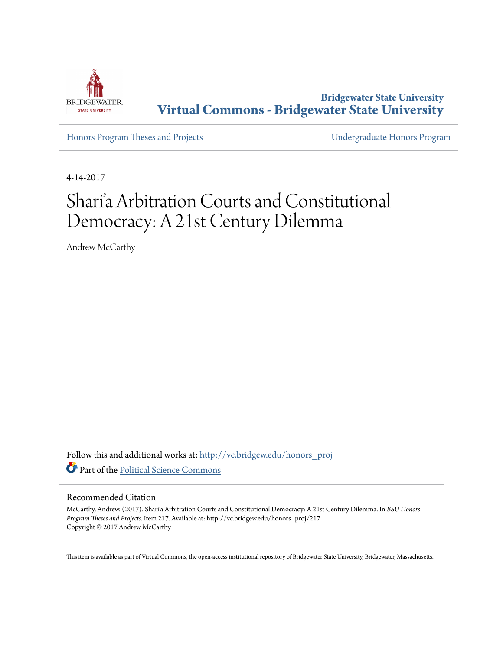

**Bridgewater State University [Virtual Commons - Bridgewater State University](http://vc.bridgew.edu?utm_source=vc.bridgew.edu%2Fhonors_proj%2F217&utm_medium=PDF&utm_campaign=PDFCoverPages)**

[Honors Program Theses and Projects](http://vc.bridgew.edu/honors_proj?utm_source=vc.bridgew.edu%2Fhonors_proj%2F217&utm_medium=PDF&utm_campaign=PDFCoverPages) [Undergraduate Honors Program](http://vc.bridgew.edu/honors?utm_source=vc.bridgew.edu%2Fhonors_proj%2F217&utm_medium=PDF&utm_campaign=PDFCoverPages)

4-14-2017

# Shari'a Arbitration Courts and Constitutional Democracy: A 21st Century Dilemma

Andrew McCarthy

Follow this and additional works at: [http://vc.bridgew.edu/honors\\_proj](http://vc.bridgew.edu/honors_proj?utm_source=vc.bridgew.edu%2Fhonors_proj%2F217&utm_medium=PDF&utm_campaign=PDFCoverPages) Part of the [Political Science Commons](http://network.bepress.com/hgg/discipline/386?utm_source=vc.bridgew.edu%2Fhonors_proj%2F217&utm_medium=PDF&utm_campaign=PDFCoverPages)

#### Recommended Citation

McCarthy, Andrew. (2017). Shari'a Arbitration Courts and Constitutional Democracy: A 21st Century Dilemma. In *BSU Honors Program Theses and Projects.* Item 217. Available at: http://vc.bridgew.edu/honors\_proj/217 Copyright © 2017 Andrew McCarthy

This item is available as part of Virtual Commons, the open-access institutional repository of Bridgewater State University, Bridgewater, Massachusetts.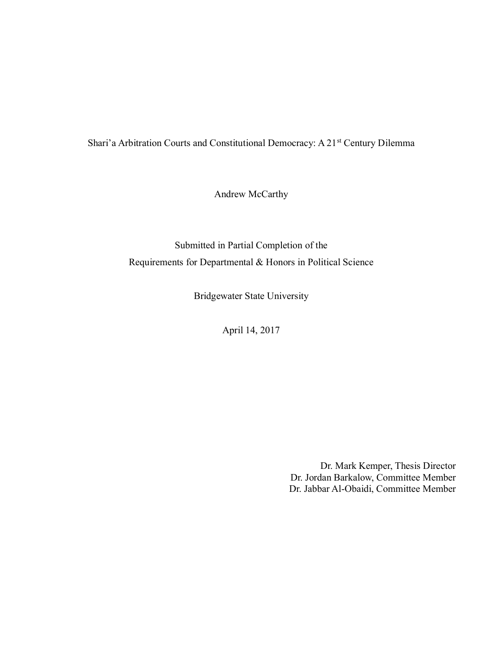Shari'a Arbitration Courts and Constitutional Democracy: A 21<sup>st</sup> Century Dilemma

Andrew McCarthy

Submitted in Partial Completion of the Requirements for Departmental & Honors in Political Science

Bridgewater State University

April 14, 2017

Dr. Mark Kemper, Thesis Director Dr. Jordan Barkalow, Committee Member Dr. Jabbar Al-Obaidi, Committee Member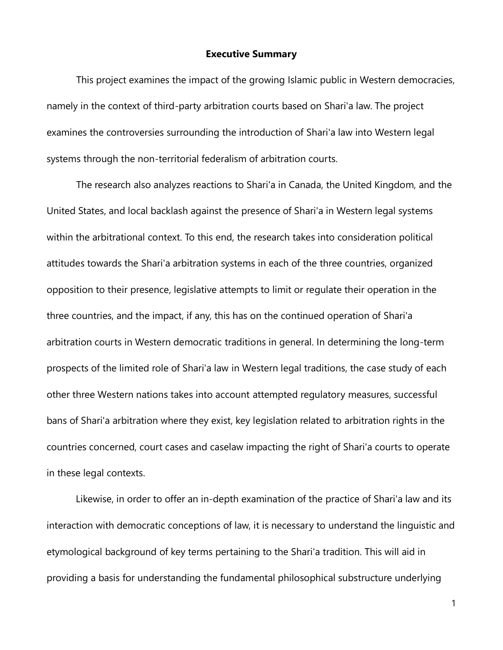## **Executive Summary**

This project examines the impact of the growing Islamic public in Western democracies, namely in the context of third-party arbitration courts based on Shari'a law. The project examines the controversies surrounding the introduction of Shari'a law into Western legal systems through the non-territorial federalism of arbitration courts.

The research also analyzes reactions to Shari'a in Canada, the United Kingdom, and the United States, and local backlash against the presence of Shari'a in Western legal systems within the arbitrational context. To this end, the research takes into consideration political attitudes towards the Shari'a arbitration systems in each of the three countries, organized opposition to their presence, legislative attempts to limit or regulate their operation in the three countries, and the impact, if any, this has on the continued operation of Shari'a arbitration courts in Western democratic traditions in general. In determining the long-term prospects of the limited role of Shari'a law in Western legal traditions, the case study of each other three Western nations takes into account attempted regulatory measures, successful bans of Shari'a arbitration where they exist, key legislation related to arbitration rights in the countries concerned, court cases and caselaw impacting the right of Shari'a courts to operate in these legal contexts.

Likewise, in order to offer an in-depth examination of the practice of Shari'a law and its interaction with democratic conceptions of law, it is necessary to understand the linguistic and etymological background of key terms pertaining to the Shari'a tradition. This will aid in providing a basis for understanding the fundamental philosophical substructure underlying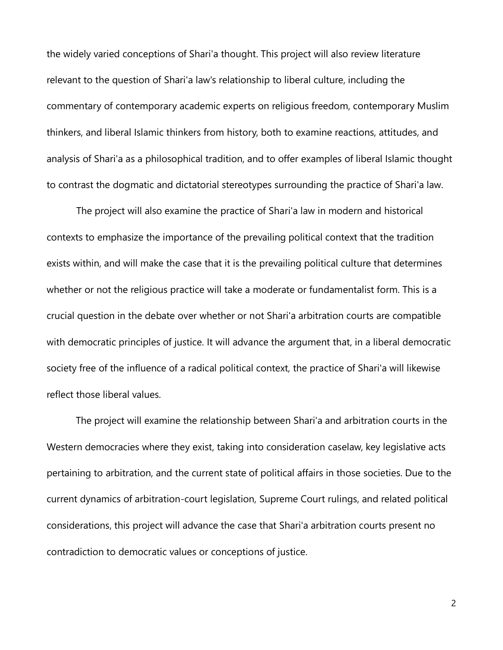the widely varied conceptions of Shari'a thought. This project will also review literature relevant to the question of Shari'a law's relationship to liberal culture, including the commentary of contemporary academic experts on religious freedom, contemporary Muslim thinkers, and liberal Islamic thinkers from history, both to examine reactions, attitudes, and analysis of Shari'a as a philosophical tradition, and to offer examples of liberal Islamic thought to contrast the dogmatic and dictatorial stereotypes surrounding the practice of Shari'a law.

The project will also examine the practice of Shari'a law in modern and historical contexts to emphasize the importance of the prevailing political context that the tradition exists within, and will make the case that it is the prevailing political culture that determines whether or not the religious practice will take a moderate or fundamentalist form. This is a crucial question in the debate over whether or not Shari'a arbitration courts are compatible with democratic principles of justice. It will advance the argument that, in a liberal democratic society free of the influence of a radical political context, the practice of Shari'a will likewise reflect those liberal values.

The project will examine the relationship between Shari'a and arbitration courts in the Western democracies where they exist, taking into consideration caselaw, key legislative acts pertaining to arbitration, and the current state of political affairs in those societies. Due to the current dynamics of arbitration-court legislation, Supreme Court rulings, and related political considerations, this project will advance the case that Shari'a arbitration courts present no contradiction to democratic values or conceptions of justice.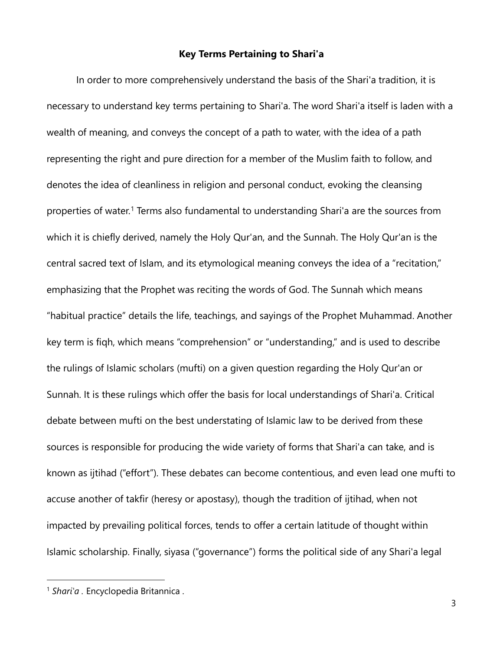## **Key Terms Pertaining to Shari'a**

In order to more comprehensively understand the basis of the Shari'a tradition, it is necessary to understand key terms pertaining to Shari'a. The word Shari'a itself is laden with a wealth of meaning, and conveys the concept of a path to water, with the idea of a path representing the right and pure direction for a member of the Muslim faith to follow, and denotes the idea of cleanliness in religion and personal conduct, evoking the cleansing properties of water.<sup>1</sup> Terms also fundamental to understanding Shari'a are the sources from which it is chiefly derived, namely the Holy Qur'an, and the Sunnah. The Holy Qur'an is the central sacred text of Islam, and its etymological meaning conveys the idea of a "recitation," emphasizing that the Prophet was reciting the words of God. The Sunnah which means "habitual practice" details the life, teachings, and sayings of the Prophet Muhammad. Another key term is fiqh, which means "comprehension" or "understanding," and is used to describe the rulings of Islamic scholars (mufti) on a given question regarding the Holy Qur'an or Sunnah. It is these rulings which offer the basis for local understandings of Shari'a. Critical debate between mufti on the best understating of Islamic law to be derived from these sources is responsible for producing the wide variety of forms that Shari'a can take, and is known as ijtihad ("effort"). These debates can become contentious, and even lead one mufti to accuse another of takfir (heresy or apostasy), though the tradition of ijtihad, when not impacted by prevailing political forces, tends to offer a certain latitude of thought within Islamic scholarship. Finally, siyasa ("governance") forms the political side of any Shari'a legal

 $\overline{a}$ 

<sup>1</sup> *Shari'a .* Encyclopedia Britannica .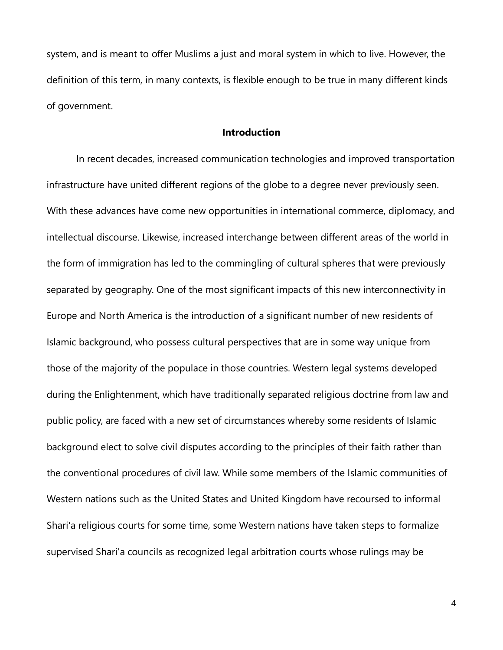system, and is meant to offer Muslims a just and moral system in which to live. However, the definition of this term, in many contexts, is flexible enough to be true in many different kinds of government.

## **Introduction**

In recent decades, increased communication technologies and improved transportation infrastructure have united different regions of the globe to a degree never previously seen. With these advances have come new opportunities in international commerce, diplomacy, and intellectual discourse. Likewise, increased interchange between different areas of the world in the form of immigration has led to the commingling of cultural spheres that were previously separated by geography. One of the most significant impacts of this new interconnectivity in Europe and North America is the introduction of a significant number of new residents of Islamic background, who possess cultural perspectives that are in some way unique from those of the majority of the populace in those countries. Western legal systems developed during the Enlightenment, which have traditionally separated religious doctrine from law and public policy, are faced with a new set of circumstances whereby some residents of Islamic background elect to solve civil disputes according to the principles of their faith rather than the conventional procedures of civil law. While some members of the Islamic communities of Western nations such as the United States and United Kingdom have recoursed to informal Shari'a religious courts for some time, some Western nations have taken steps to formalize supervised Shari'a councils as recognized legal arbitration courts whose rulings may be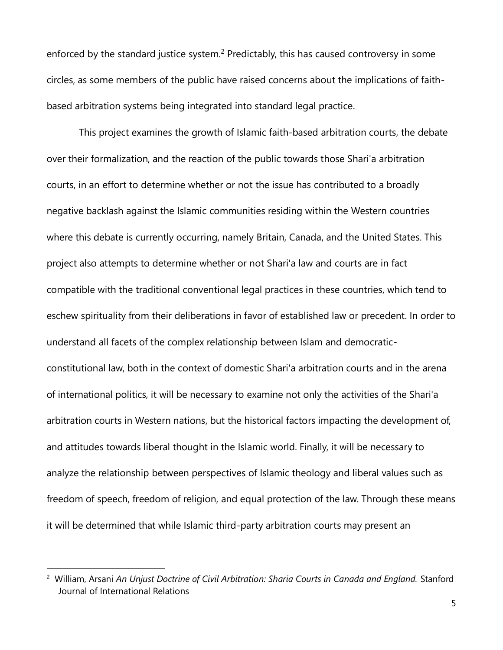enforced by the standard justice system.<sup>2</sup> Predictably, this has caused controversy in some circles, as some members of the public have raised concerns about the implications of faithbased arbitration systems being integrated into standard legal practice.

This project examines the growth of Islamic faith-based arbitration courts, the debate over their formalization, and the reaction of the public towards those Shari'a arbitration courts, in an effort to determine whether or not the issue has contributed to a broadly negative backlash against the Islamic communities residing within the Western countries where this debate is currently occurring, namely Britain, Canada, and the United States. This project also attempts to determine whether or not Shari'a law and courts are in fact compatible with the traditional conventional legal practices in these countries, which tend to eschew spirituality from their deliberations in favor of established law or precedent. In order to understand all facets of the complex relationship between Islam and democraticconstitutional law, both in the context of domestic Shari'a arbitration courts and in the arena of international politics, it will be necessary to examine not only the activities of the Shari'a arbitration courts in Western nations, but the historical factors impacting the development of, and attitudes towards liberal thought in the Islamic world. Finally, it will be necessary to analyze the relationship between perspectives of Islamic theology and liberal values such as freedom of speech, freedom of religion, and equal protection of the law. Through these means it will be determined that while Islamic third-party arbitration courts may present an

<sup>&</sup>lt;sup>2</sup> William, Arsani An Unjust Doctrine of Civil Arbitration: Sharia Courts in Canada and England. Stanford Journal of International Relations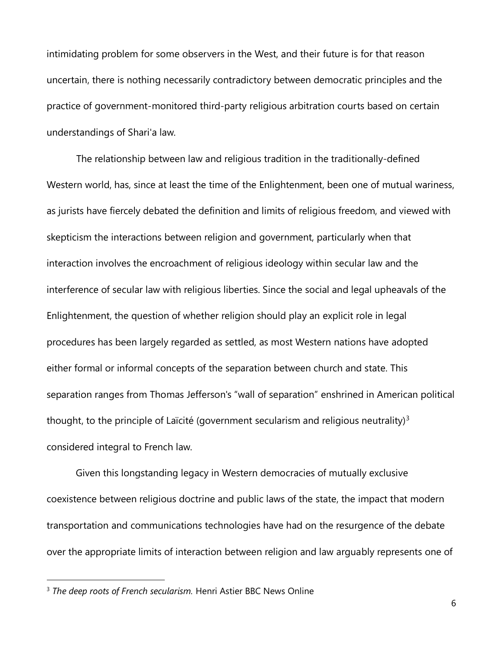intimidating problem for some observers in the West, and their future is for that reason uncertain, there is nothing necessarily contradictory between democratic principles and the practice of government-monitored third-party religious arbitration courts based on certain understandings of Shari'a law.

The relationship between law and religious tradition in the traditionally-defined Western world, has, since at least the time of the Enlightenment, been one of mutual wariness, as jurists have fiercely debated the definition and limits of religious freedom, and viewed with skepticism the interactions between religion and government, particularly when that interaction involves the encroachment of religious ideology within secular law and the interference of secular law with religious liberties. Since the social and legal upheavals of the Enlightenment, the question of whether religion should play an explicit role in legal procedures has been largely regarded as settled, as most Western nations have adopted either formal or informal concepts of the separation between church and state. This separation ranges from Thomas Jefferson's "wall of separation" enshrined in American political thought, to the principle of Laïcité (government secularism and religious neutrality) $3$ considered integral to French law.

Given this longstanding legacy in Western democracies of mutually exclusive coexistence between religious doctrine and public laws of the state, the impact that modern transportation and communications technologies have had on the resurgence of the debate over the appropriate limits of interaction between religion and law arguably represents one of

 $\overline{a}$ 

<sup>&</sup>lt;sup>3</sup> *The deep roots of French secularism.* Henri Astier BBC News Online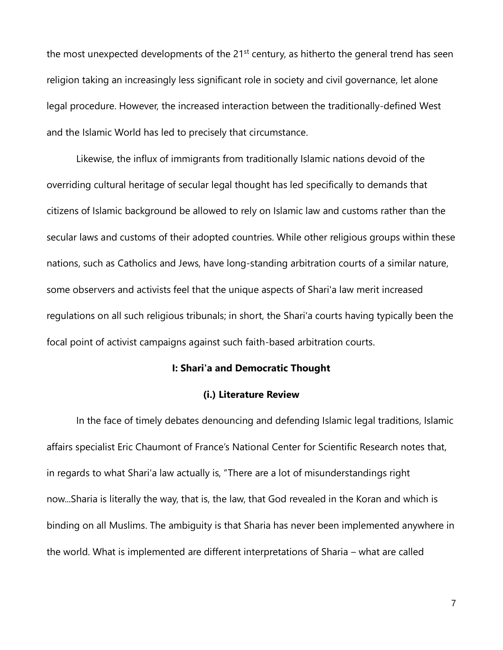the most unexpected developments of the  $21<sup>st</sup>$  century, as hitherto the general trend has seen religion taking an increasingly less significant role in society and civil governance, let alone legal procedure. However, the increased interaction between the traditionally-defined West and the Islamic World has led to precisely that circumstance.

Likewise, the influx of immigrants from traditionally Islamic nations devoid of the overriding cultural heritage of secular legal thought has led specifically to demands that citizens of Islamic background be allowed to rely on Islamic law and customs rather than the secular laws and customs of their adopted countries. While other religious groups within these nations, such as Catholics and Jews, have long-standing arbitration courts of a similar nature, some observers and activists feel that the unique aspects of Shari'a law merit increased regulations on all such religious tribunals; in short, the Shari'a courts having typically been the focal point of activist campaigns against such faith-based arbitration courts.

#### **I: Shari'a and Democratic Thought**

## **(i.) Literature Review**

In the face of timely debates denouncing and defending Islamic legal traditions, Islamic affairs specialist Eric Chaumont of France's National Center for Scientific Research notes that, in regards to what Shari'a law actually is, "There are a lot of misunderstandings right now...Sharia is literally the way, that is, the law, that God revealed in the Koran and which is binding on all Muslims. The ambiguity is that Sharia has never been implemented anywhere in the world. What is implemented are different interpretations of Sharia – what are called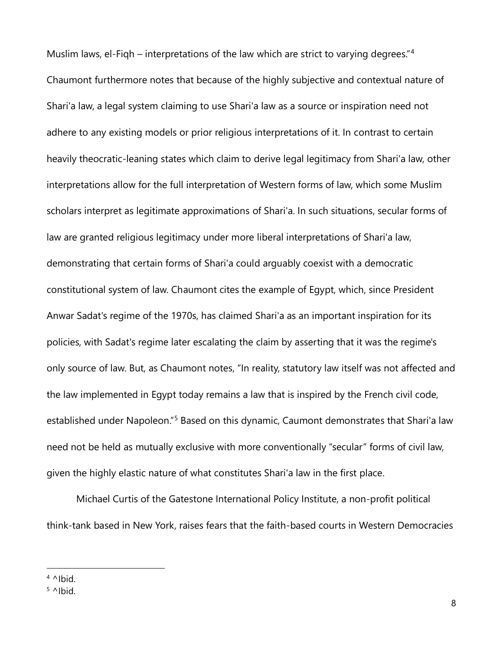Muslim laws, el-Figh – interpretations of the law which are strict to varying degrees."<sup>4</sup> Chaumont furthermore notes that because of the highly subjective and contextual nature of Shari'a law, a legal system claiming to use Shari'a law as a source or inspiration need not adhere to any existing models or prior religious interpretations of it. In contrast to certain heavily theocratic-leaning states which claim to derive legal legitimacy from Shari'a law, other interpretations allow for the full interpretation of Western forms of law, which some Muslim scholars interpret as legitimate approximations of Shari'a. In such situations, secular forms of law are granted religious legitimacy under more liberal interpretations of Shari'a law, demonstrating that certain forms of Shari'a could arguably coexist with a democratic constitutional system of law. Chaumont cites the example of Egypt, which, since President Anwar Sadat's regime of the 1970s, has claimed Shari'a as an important inspiration for its policies, with Sadat's regime later escalating the claim by asserting that it was the regime's only source of law. But, as Chaumont notes, "In reality, statutory law itself was not affected and the law implemented in Egypt today remains a law that is inspired by the French civil code, established under Napoleon."<sup>5</sup> Based on this dynamic, Caumont demonstrates that Shari'a law need not be held as mutually exclusive with more conventionally "secular" forms of civil law, given the highly elastic nature of what constitutes Shari'a law in the first place.

Michael Curtis of the Gatestone International Policy Institute, a non-profit political think-tank based in New York, raises fears that the faith-based courts in Western Democracies

 $4$  ^Ibid.

 $5$  ^Ibid.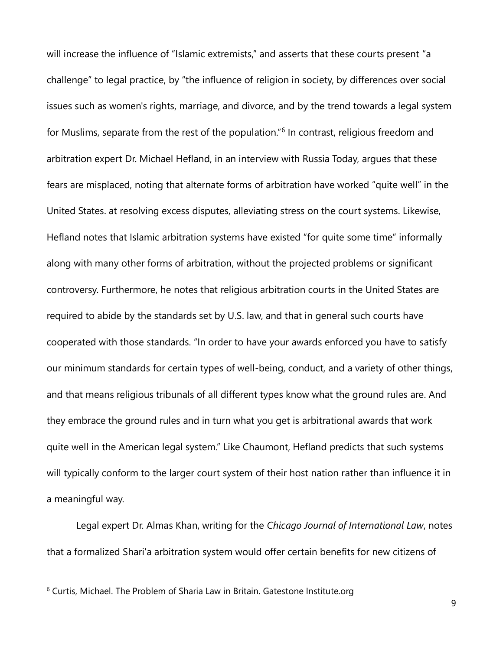will increase the influence of "Islamic extremists," and asserts that these courts present "a challenge" to legal practice, by "the influence of religion in society, by differences over social issues such as women's rights, marriage, and divorce, and by the trend towards a legal system for Muslims, separate from the rest of the population."<sup>6</sup> In contrast, religious freedom and arbitration expert Dr. Michael Hefland, in an interview with Russia Today, argues that these fears are misplaced, noting that alternate forms of arbitration have worked "quite well" in the United States. at resolving excess disputes, alleviating stress on the court systems. Likewise, Hefland notes that Islamic arbitration systems have existed "for quite some time" informally along with many other forms of arbitration, without the projected problems or significant controversy. Furthermore, he notes that religious arbitration courts in the United States are required to abide by the standards set by U.S. law, and that in general such courts have cooperated with those standards. "In order to have your awards enforced you have to satisfy our minimum standards for certain types of well-being, conduct, and a variety of other things, and that means religious tribunals of all different types know what the ground rules are. And they embrace the ground rules and in turn what you get is arbitrational awards that work quite well in the American legal system." Like Chaumont, Hefland predicts that such systems will typically conform to the larger court system of their host nation rather than influence it in a meaningful way.

Legal expert Dr. Almas Khan, writing for the *Chicago Journal of International Law*, notes that a formalized Shari'a arbitration system would offer certain benefits for new citizens of

 $6$  Curtis, Michael. The Problem of Sharia Law in Britain. Gatestone Institute.org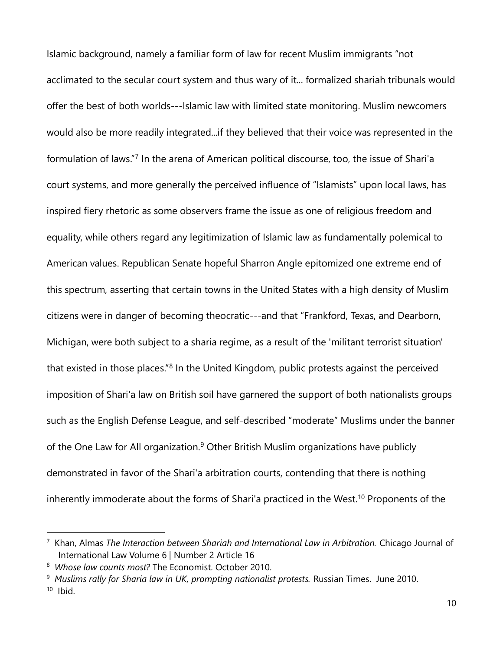Islamic background, namely a familiar form of law for recent Muslim immigrants "not acclimated to the secular court system and thus wary of it... formalized shariah tribunals would offer the best of both worlds---Islamic law with limited state monitoring. Muslim newcomers would also be more readily integrated...if they believed that their voice was represented in the formulation of laws."<sup>7</sup> In the arena of American political discourse, too, the issue of Shari'a court systems, and more generally the perceived influence of "Islamists" upon local laws, has inspired fiery rhetoric as some observers frame the issue as one of religious freedom and equality, while others regard any legitimization of Islamic law as fundamentally polemical to American values. Republican Senate hopeful Sharron Angle epitomized one extreme end of this spectrum, asserting that certain towns in the United States with a high density of Muslim citizens were in danger of becoming theocratic---and that "Frankford, Texas, and Dearborn, Michigan, were both subject to a sharia regime, as a result of the 'militant terrorist situation' that existed in those places.<sup>"8</sup> In the United Kingdom, public protests against the perceived imposition of Shari'a law on British soil have garnered the support of both nationalists groups such as the English Defense League, and self-described "moderate" Muslims under the banner of the One Law for All organization.<sup>9</sup> Other British Muslim organizations have publicly demonstrated in favor of the Shari'a arbitration courts, contending that there is nothing inherently immoderate about the forms of Shari'a practiced in the West.<sup>10</sup> Proponents of the

<sup>&</sup>lt;sup>7</sup> Khan, Almas *The Interaction between Shariah and International Law in Arbitration. Chicago Journal of* International Law Volume 6 | Number 2 Article 16

<sup>8</sup> *Whose law counts most?* The Economist. October 2010.

<sup>9</sup>  *Muslims rally for Sharia law in UK, prompting nationalist protests.* Russian Times. June 2010. 10 Ibid.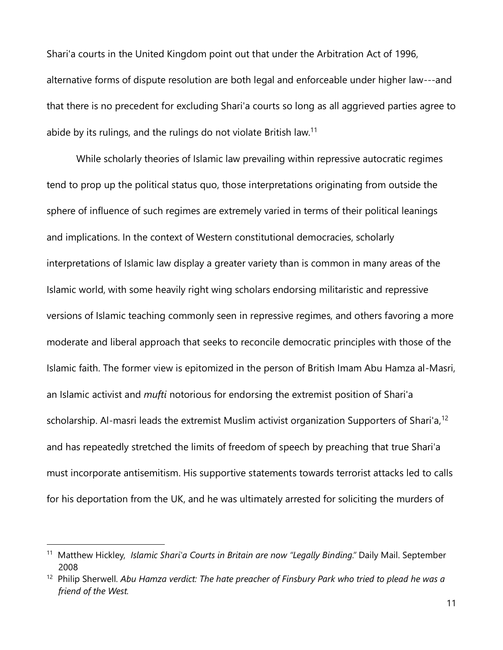Shari'a courts in the United Kingdom point out that under the Arbitration Act of 1996, alternative forms of dispute resolution are both legal and enforceable under higher law---and that there is no precedent for excluding Shari'a courts so long as all aggrieved parties agree to abide by its rulings, and the rulings do not violate British law.<sup>11</sup>

While scholarly theories of Islamic law prevailing within repressive autocratic regimes tend to prop up the political status quo, those interpretations originating from outside the sphere of influence of such regimes are extremely varied in terms of their political leanings and implications. In the context of Western constitutional democracies, scholarly interpretations of Islamic law display a greater variety than is common in many areas of the Islamic world, with some heavily right wing scholars endorsing militaristic and repressive versions of Islamic teaching commonly seen in repressive regimes, and others favoring a more moderate and liberal approach that seeks to reconcile democratic principles with those of the Islamic faith. The former view is epitomized in the person of British Imam Abu Hamza al-Masri, an Islamic activist and *mufti* notorious for endorsing the extremist position of Shari'a scholarship. Al-masri leads the extremist Muslim activist organization Supporters of Shari'a,<sup>12</sup> and has repeatedly stretched the limits of freedom of speech by preaching that true Shari'a must incorporate antisemitism. His supportive statements towards terrorist attacks led to calls for his deportation from the UK, and he was ultimately arrested for soliciting the murders of

<sup>&</sup>lt;sup>11</sup> Matthew Hickley, *Islamic Shari'a Courts in Britain are now "Legally Binding."* Daily Mail. September 2008

<sup>&</sup>lt;sup>12</sup> Philip Sherwell. Abu Hamza verdict: The hate preacher of Finsbury Park who tried to plead he was a *friend of the West.*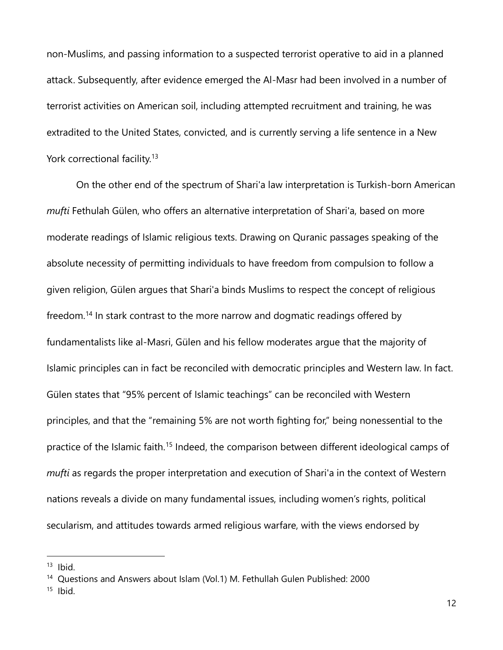non-Muslims, and passing information to a suspected terrorist operative to aid in a planned attack. Subsequently, after evidence emerged the Al-Masr had been involved in a number of terrorist activities on American soil, including attempted recruitment and training, he was extradited to the United States, convicted, and is currently serving a life sentence in a New York correctional facility.<sup>13</sup>

On the other end of the spectrum of Shari'a law interpretation is Turkish-born American *mufti* Fethulah Gülen, who offers an alternative interpretation of Shari'a, based on more moderate readings of Islamic religious texts. Drawing on Quranic passages speaking of the absolute necessity of permitting individuals to have freedom from compulsion to follow a given religion, Gülen argues that Shari'a binds Muslims to respect the concept of religious freedom.<sup>14</sup> In stark contrast to the more narrow and dogmatic readings offered by fundamentalists like al-Masri, Gülen and his fellow moderates argue that the majority of Islamic principles can in fact be reconciled with democratic principles and Western law. In fact. Gülen states that "95% percent of Islamic teachings" can be reconciled with Western principles, and that the "remaining 5% are not worth fighting for," being nonessential to the practice of the Islamic faith.<sup>15</sup> Indeed, the comparison between different ideological camps of *mufti* as regards the proper interpretation and execution of Shari'a in the context of Western nations reveals a divide on many fundamental issues, including women's rights, political secularism, and attitudes towards armed religious warfare, with the views endorsed by

 $13$  Ibid.

<sup>&</sup>lt;sup>14</sup> Questions and Answers about Islam (Vol.1) M. Fethullah Gulen Published: 2000

 $15$  Ibid.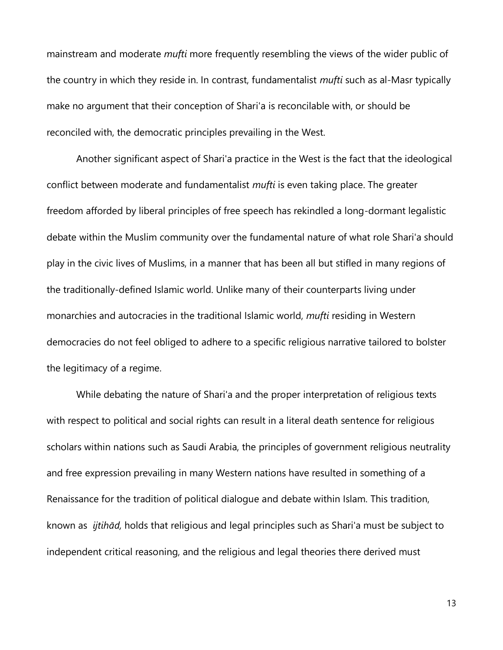mainstream and moderate *mufti* more frequently resembling the views of the wider public of the country in which they reside in. In contrast, fundamentalist *mufti* such as al-Masr typically make no argument that their conception of Shari'a is reconcilable with, or should be reconciled with, the democratic principles prevailing in the West.

Another significant aspect of Shari'a practice in the West is the fact that the ideological conflict between moderate and fundamentalist *mufti* is even taking place. The greater freedom afforded by liberal principles of free speech has rekindled a long-dormant legalistic debate within the Muslim community over the fundamental nature of what role Shari'a should play in the civic lives of Muslims, in a manner that has been all but stifled in many regions of the traditionally-defined Islamic world. Unlike many of their counterparts living under monarchies and autocracies in the traditional Islamic world, *mufti* residing in Western democracies do not feel obliged to adhere to a specific religious narrative tailored to bolster the legitimacy of a regime.

While debating the nature of Shari'a and the proper interpretation of religious texts with respect to political and social rights can result in a literal death sentence for religious scholars within nations such as Saudi Arabia, the principles of government religious neutrality and free expression prevailing in many Western nations have resulted in something of a Renaissance for the tradition of political dialogue and debate within Islam. This tradition, known as *ijtihād,* holds that religious and legal principles such as Shari'a must be subject to independent critical reasoning, and the religious and legal theories there derived must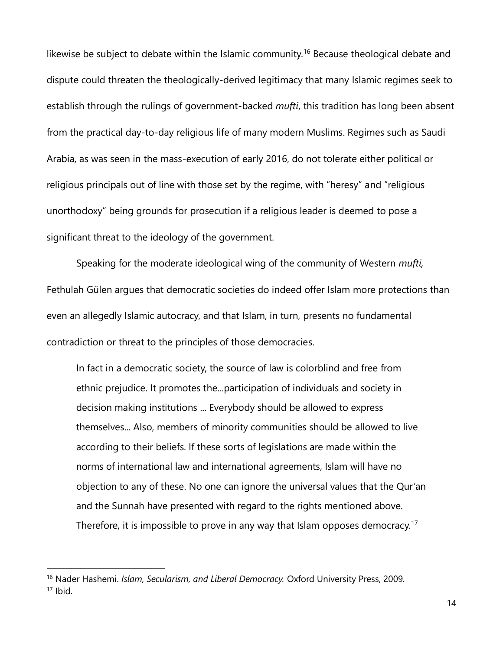likewise be subject to debate within the Islamic community.<sup>16</sup> Because theological debate and dispute could threaten the theologically-derived legitimacy that many Islamic regimes seek to establish through the rulings of government-backed *mufti*, this tradition has long been absent from the practical day-to-day religious life of many modern Muslims. Regimes such as Saudi Arabia, as was seen in the mass-execution of early 2016, do not tolerate either political or religious principals out of line with those set by the regime, with "heresy" and "religious unorthodoxy" being grounds for prosecution if a religious leader is deemed to pose a significant threat to the ideology of the government.

Speaking for the moderate ideological wing of the community of Western *mufti,* Fethulah Gülen argues that democratic societies do indeed offer Islam more protections than even an allegedly Islamic autocracy, and that Islam, in turn, presents no fundamental contradiction or threat to the principles of those democracies.

In fact in a democratic society, the source of law is colorblind and free from ethnic prejudice. It promotes the...participation of individuals and society in decision making institutions ... Everybody should be allowed to express themselves... Also, members of minority communities should be allowed to live according to their beliefs. If these sorts of legislations are made within the norms of international law and international agreements, Islam will have no objection to any of these. No one can ignore the universal values that the Qur'an and the Sunnah have presented with regard to the rights mentioned above. Therefore, it is impossible to prove in any way that Islam opposes democracy.<sup>17</sup>

 $\overline{a}$ 

<sup>16</sup> Nader Hashemi. *Islam, Secularism, and Liberal Democracy.* Oxford University Press, 2009. <sup>17</sup> Ibid.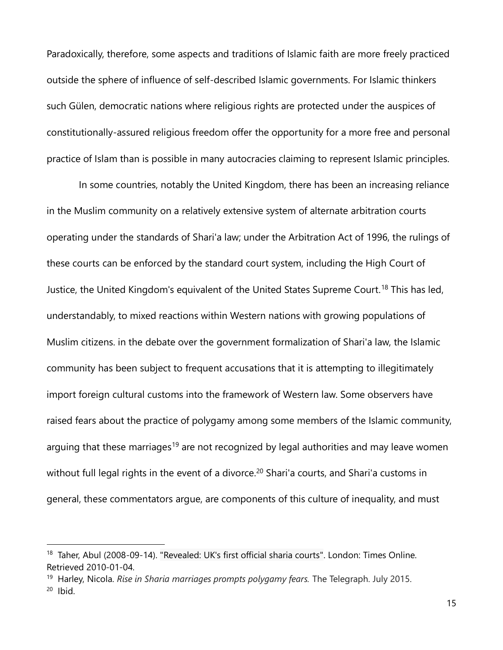Paradoxically, therefore, some aspects and traditions of Islamic faith are more freely practiced outside the sphere of influence of self-described Islamic governments. For Islamic thinkers such Gülen, democratic nations where religious rights are protected under the auspices of constitutionally-assured religious freedom offer the opportunity for a more free and personal practice of Islam than is possible in many autocracies claiming to represent Islamic principles.

In some countries, notably the United Kingdom, there has been an increasing reliance in the Muslim community on a relatively extensive system of alternate arbitration courts operating under the standards of Shari'a law; under the Arbitration Act of 1996, the rulings of these courts can be enforced by the standard court system, including the High Court of Justice, the United Kingdom's equivalent of the United States Supreme Court.<sup>18</sup> This has led, understandably, to mixed reactions within Western nations with growing populations of Muslim citizens. in the debate over the government formalization of Shari'a law, the Islamic community has been subject to frequent accusations that it is attempting to illegitimately import foreign cultural customs into the framework of Western law. Some observers have raised fears about the practice of polygamy among some members of the Islamic community, arguing that these marriages<sup>19</sup> are not recognized by legal authorities and may leave women without full legal rights in the event of a divorce.<sup>20</sup> Shari'a courts, and Shari'a customs in general, these commentators argue, are components of this culture of inequality, and must

<sup>&</sup>lt;sup>18</sup> Taher, Abul (2008-09-14). ["Revealed: UK's first official sharia courts".](http://www.thesundaytimes.co.uk/sto/Migration/article235989.ece) London: Times Online. Retrieved 2010-01-04.

<sup>19</sup> Harley, Nicola. *Rise in Sharia marriages prompts polygamy fears.* The Telegraph. July 2015.  $20$  Ibid.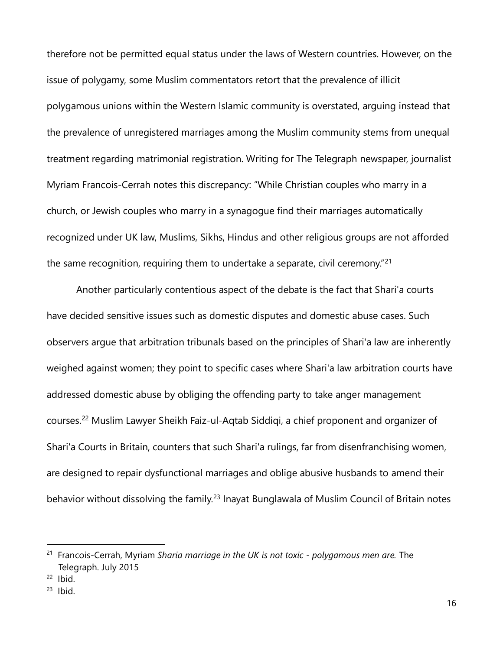therefore not be permitted equal status under the laws of Western countries. However, on the issue of polygamy, some Muslim commentators retort that the prevalence of illicit polygamous unions within the Western Islamic community is overstated, arguing instead that the prevalence of unregistered marriages among the Muslim community stems from unequal treatment regarding matrimonial registration. Writing for The Telegraph newspaper, journalist Myriam Francois-Cerrah notes this discrepancy: "While Christian couples who marry in a church, or Jewish couples who marry in a synagogue find their marriages automatically recognized under UK law, Muslims, Sikhs, Hindus and other religious groups are not afforded the same recognition, requiring them to undertake a separate, civil ceremony.<sup>"21</sup>

Another particularly contentious aspect of the debate is the fact that Shari'a courts have decided sensitive issues such as domestic disputes and domestic abuse cases. Such observers argue that arbitration tribunals based on the principles of Shari'a law are inherently weighed against women; they point to specific cases where Shari'a law arbitration courts have addressed domestic abuse by obliging the offending party to take anger management courses.<sup>22</sup> Muslim Lawyer Sheikh Faiz-ul-Aqtab Siddiqi, a chief proponent and organizer of Shari'a Courts in Britain, counters that such Shari'a rulings, far from disenfranchising women, are designed to repair dysfunctional marriages and oblige abusive husbands to amend their behavior without dissolving the family.<sup>23</sup> Inayat Bunglawala of Muslim Council of Britain notes

<sup>21</sup> Francois-Cerrah, Myriam *Sharia marriage in the UK is not toxic - polygamous men are.* The Telegraph. July 2015

 $22$  Ibid.

 $23$  Ibid.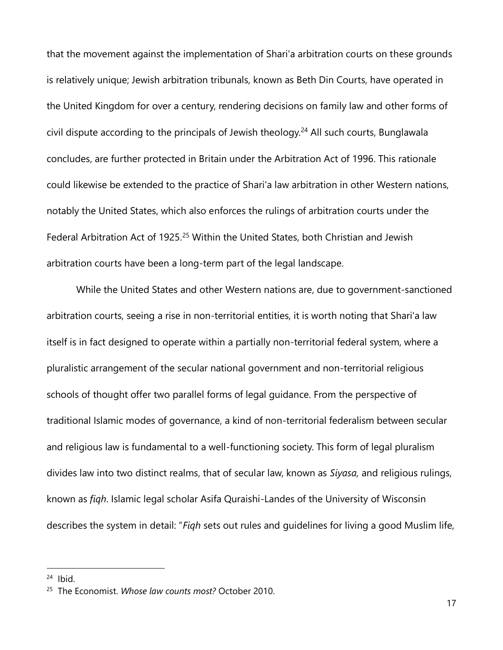that the movement against the implementation of Shari'a arbitration courts on these grounds is relatively unique; Jewish arbitration tribunals, known as Beth Din Courts, have operated in the United Kingdom for over a century, rendering decisions on family law and other forms of civil dispute according to the principals of Jewish theology.<sup>24</sup> All such courts, Bunglawala concludes, are further protected in Britain under the Arbitration Act of 1996. This rationale could likewise be extended to the practice of Shari'a law arbitration in other Western nations, notably the United States, which also enforces the rulings of arbitration courts under the Federal Arbitration Act of 1925.<sup>25</sup> Within the United States, both Christian and Jewish arbitration courts have been a long-term part of the legal landscape.

While the United States and other Western nations are, due to government-sanctioned arbitration courts, seeing a rise in non-territorial entities, it is worth noting that Shari'a law itself is in fact designed to operate within a partially non-territorial federal system, where a pluralistic arrangement of the secular national government and non-territorial religious schools of thought offer two parallel forms of legal guidance. From the perspective of traditional Islamic modes of governance, a kind of non-territorial federalism between secular and religious law is fundamental to a well-functioning society. This form of legal pluralism divides law into two distinct realms, that of secular law, known as *Siyasa,* and religious rulings, known as *fiqh*. Islamic legal scholar Asifa Quraishi-Landes of the University of Wisconsin describes the system in detail: "*Fiqh* sets out rules and guidelines for living a good Muslim life,

 $24$  Ibid.

<sup>25</sup> The Economist. *Whose law counts most?* October 2010.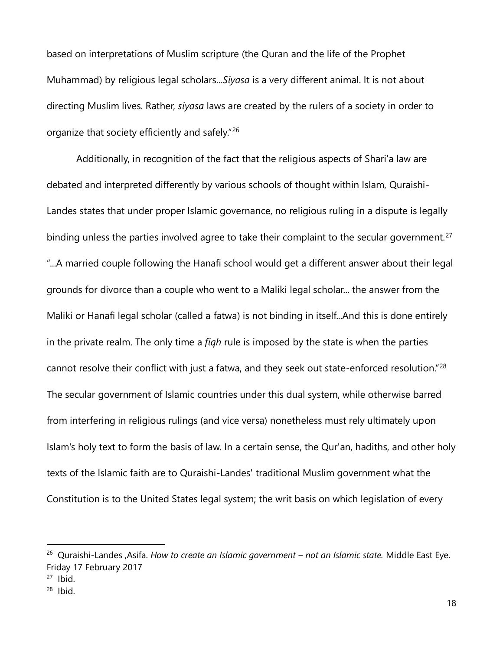based on interpretations of Muslim scripture (the Quran and the life of the Prophet Muhammad) by religious legal scholars...*Siyasa* is a very different animal. It is not about directing Muslim lives. Rather, *siyasa* laws are created by the rulers of a society in order to organize that society efficiently and safely."<sup>26</sup>

Additionally, in recognition of the fact that the religious aspects of Shari'a law are debated and interpreted differently by various schools of thought within Islam, Quraishi-Landes states that under proper Islamic governance, no religious ruling in a dispute is legally binding unless the parties involved agree to take their complaint to the secular government.<sup>27</sup> "...A married couple following the Hanafi school would get a different answer about their legal grounds for divorce than a couple who went to a Maliki legal scholar... the answer from the Maliki or Hanafi legal scholar (called a fatwa) is not binding in itself...And this is done entirely in the private realm. The only time a *fiqh* rule is imposed by the state is when the parties cannot resolve their conflict with just a fatwa, and they seek out state-enforced resolution."<sup>28</sup> The secular government of Islamic countries under this dual system, while otherwise barred from interfering in religious rulings (and vice versa) nonetheless must rely ultimately upon Islam's holy text to form the basis of law. In a certain sense, the Qur'an, hadiths, and other holy texts of the Islamic faith are to Quraishi-Landes' traditional Muslim government what the Constitution is to the United States legal system; the writ basis on which legislation of every

<sup>26</sup> Quraishi-Landes ,Asifa. *How to create an Islamic government – not an Islamic state.* Middle East Eye. Friday 17 February 2017

 $27$  Ibid.

 $28$  Ibid.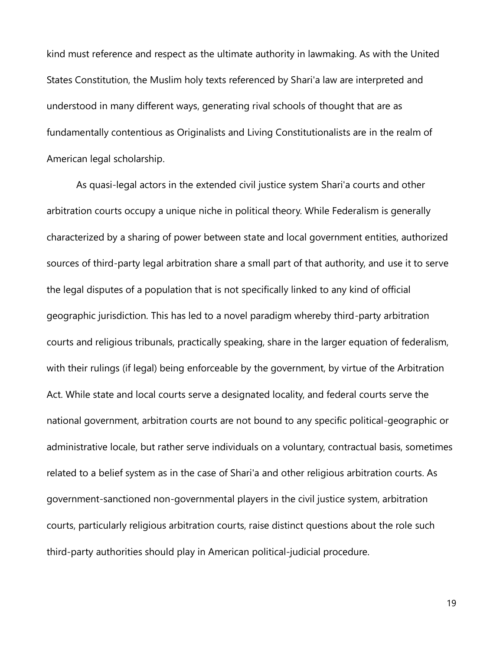kind must reference and respect as the ultimate authority in lawmaking. As with the United States Constitution, the Muslim holy texts referenced by Shari'a law are interpreted and understood in many different ways, generating rival schools of thought that are as fundamentally contentious as Originalists and Living Constitutionalists are in the realm of American legal scholarship.

As quasi-legal actors in the extended civil justice system Shari'a courts and other arbitration courts occupy a unique niche in political theory. While Federalism is generally characterized by a sharing of power between state and local government entities, authorized sources of third-party legal arbitration share a small part of that authority, and use it to serve the legal disputes of a population that is not specifically linked to any kind of official geographic jurisdiction. This has led to a novel paradigm whereby third-party arbitration courts and religious tribunals, practically speaking, share in the larger equation of federalism, with their rulings (if legal) being enforceable by the government, by virtue of the Arbitration Act. While state and local courts serve a designated locality, and federal courts serve the national government, arbitration courts are not bound to any specific political-geographic or administrative locale, but rather serve individuals on a voluntary, contractual basis, sometimes related to a belief system as in the case of Shari'a and other religious arbitration courts. As government-sanctioned non-governmental players in the civil justice system, arbitration courts, particularly religious arbitration courts, raise distinct questions about the role such third-party authorities should play in American political-judicial procedure.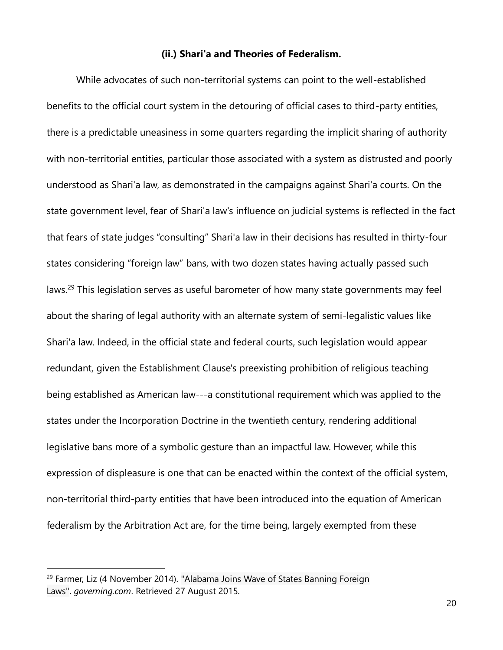## **(ii.) Shari'a and Theories of Federalism.**

While advocates of such non-territorial systems can point to the well-established benefits to the official court system in the detouring of official cases to third-party entities, there is a predictable uneasiness in some quarters regarding the implicit sharing of authority with non-territorial entities, particular those associated with a system as distrusted and poorly understood as Shari'a law, as demonstrated in the campaigns against Shari'a courts. On the state government level, fear of Shari'a law's influence on judicial systems is reflected in the fact that fears of state judges "consulting" Shari'a law in their decisions has resulted in thirty-four states considering "foreign law" bans, with two dozen states having actually passed such laws.<sup>29</sup> This legislation serves as useful barometer of how many state governments may feel about the sharing of legal authority with an alternate system of semi-legalistic values like Shari'a law. Indeed, in the official state and federal courts, such legislation would appear redundant, given the Establishment Clause's preexisting prohibition of religious teaching being established as American law---a constitutional requirement which was applied to the states under the Incorporation Doctrine in the twentieth century, rendering additional legislative bans more of a symbolic gesture than an impactful law. However, while this expression of displeasure is one that can be enacted within the context of the official system, non-territorial third-party entities that have been introduced into the equation of American federalism by the Arbitration Act are, for the time being, largely exempted from these

 $29$  Farmer, Liz (4 November 2014). "Alabama Joins Wave of States Banning Foreign [Laws".](http://www.governing.com/topics/elections/gov-alabama-foreign-law-courts-amendment.html) *governing.com*. Retrieved 27 August 2015.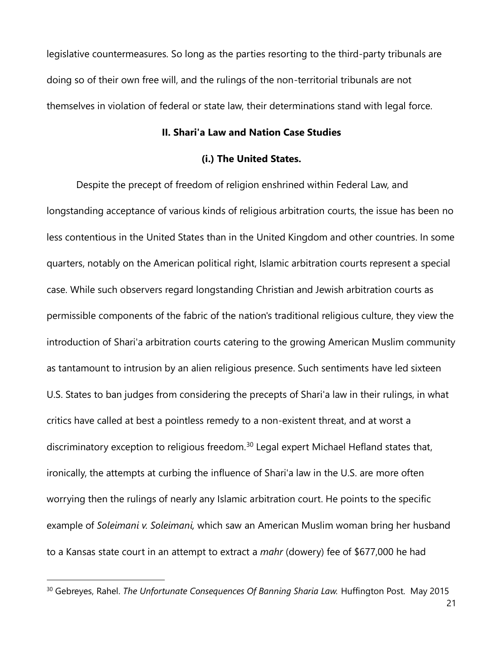legislative countermeasures. So long as the parties resorting to the third-party tribunals are doing so of their own free will, and the rulings of the non-territorial tribunals are not themselves in violation of federal or state law, their determinations stand with legal force.

## **II. Shari'a Law and Nation Case Studies**

## **(i.) The United States.**

Despite the precept of freedom of religion enshrined within Federal Law, and longstanding acceptance of various kinds of religious arbitration courts, the issue has been no less contentious in the United States than in the United Kingdom and other countries. In some quarters, notably on the American political right, Islamic arbitration courts represent a special case. While such observers regard longstanding Christian and Jewish arbitration courts as permissible components of the fabric of the nation's traditional religious culture, they view the introduction of Shari'a arbitration courts catering to the growing American Muslim community as tantamount to intrusion by an alien religious presence. Such sentiments have led sixteen U.S. States to ban judges from considering the precepts of Shari'a law in their rulings, in what critics have called at best a pointless remedy to a non-existent threat, and at worst a discriminatory exception to religious freedom.<sup>30</sup> Legal expert Michael Hefland states that, ironically, the attempts at curbing the influence of Shari'a law in the U.S. are more often worrying then the rulings of nearly any Islamic arbitration court. He points to the specific example of *Soleimani v. Soleimani,* which saw an American Muslim woman bring her husband to a Kansas state court in an attempt to extract a *mahr* (dowery) fee of \$677,000 he had

<sup>&</sup>lt;sup>30</sup> Gebreyes, Rahel. *The Unfortunate Consequences Of Banning Sharia Law*. Huffington Post. May 2015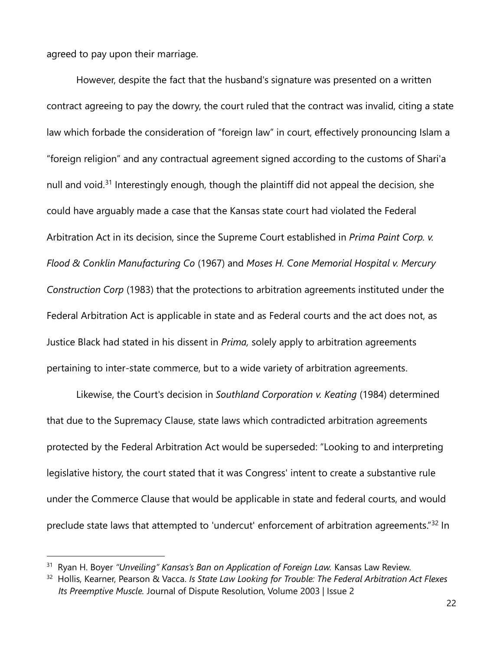agreed to pay upon their marriage.

 $\overline{a}$ 

However, despite the fact that the husband's signature was presented on a written contract agreeing to pay the dowry, the court ruled that the contract was invalid, citing a state law which forbade the consideration of "foreign law" in court, effectively pronouncing Islam a "foreign religion" and any contractual agreement signed according to the customs of Shari'a null and void.<sup>31</sup> Interestingly enough, though the plaintiff did not appeal the decision, she could have arguably made a case that the Kansas state court had violated the Federal Arbitration Act in its decision, since the Supreme Court established in *Prima Paint Corp. v. Flood & Conklin Manufacturing Co* (1967) and *Moses H. Cone Memorial Hospital v. Mercury Construction Corp* (1983) that the protections to arbitration agreements instituted under the Federal Arbitration Act is applicable in state and as Federal courts and the act does not, as Justice Black had stated in his dissent in *Prima,* solely apply to arbitration agreements pertaining to inter-state commerce, but to a wide variety of arbitration agreements.

Likewise, the Court's decision in *Southland Corporation v. Keating* (1984) determined that due to the Supremacy Clause, state laws which contradicted arbitration agreements protected by the Federal Arbitration Act would be superseded: "Looking to and interpreting legislative history, the court stated that it was Congress' intent to create a substantive rule under the Commerce Clause that would be applicable in state and federal courts, and would preclude state laws that attempted to 'undercut' enforcement of arbitration agreements."<sup>32</sup> In

<sup>&</sup>lt;sup>31</sup> Ryan H. Boyer "Unveiling" Kansas's Ban on Application of Foreign Law. Kansas Law Review.

<sup>32</sup> Hollis, Kearner, Pearson & Vacca. *Is State Law Looking for Trouble: The Federal Arbitration Act Flexes Its Preemptive Muscle.* Journal of Dispute Resolution, Volume 2003 | Issue 2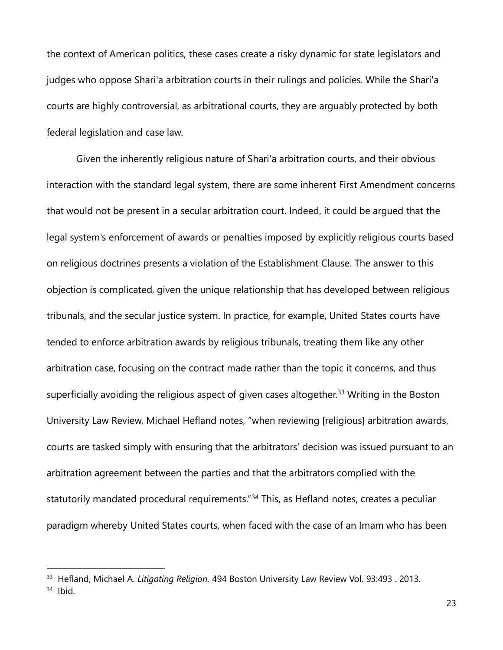the context of American politics, these cases create a risky dynamic for state legislators and judges who oppose Shari'a arbitration courts in their rulings and policies. While the Shari'a courts are highly controversial, as arbitrational courts, they are arguably protected by both federal legislation and case law.

Given the inherently religious nature of Shari'a arbitration courts, and their obvious interaction with the standard legal system, there are some inherent First Amendment concerns that would not be present in a secular arbitration court. Indeed, it could be argued that the legal system's enforcement of awards or penalties imposed by explicitly religious courts based on religious doctrines presents a violation of the Establishment Clause. The answer to this objection is complicated, given the unique relationship that has developed between religious tribunals, and the secular justice system. In practice, for example, United States courts have tended to enforce arbitration awards by religious tribunals, treating them like any other arbitration case, focusing on the contract made rather than the topic it concerns, and thus superficially avoiding the religious aspect of given cases altogether.<sup>33</sup> Writing in the Boston University Law Review, Michael Hefland notes, "when reviewing [religious] arbitration awards, courts are tasked simply with ensuring that the arbitrators' decision was issued pursuant to an arbitration agreement between the parties and that the arbitrators complied with the statutorily mandated procedural requirements."<sup>34</sup> This, as Hefland notes, creates a peculiar paradigm whereby United States courts, when faced with the case of an Imam who has been

<sup>33</sup> Hefland, Michael A. *Litigating Religion.* 494 Boston University Law Review Vol. 93:493 . 2013. <sup>34</sup> Ibid.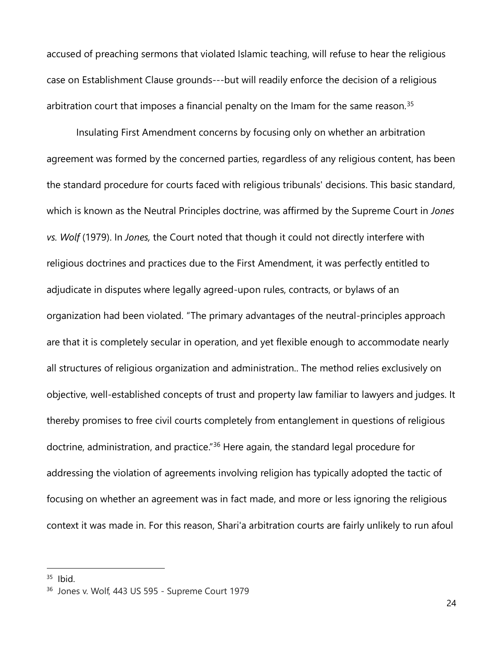accused of preaching sermons that violated Islamic teaching, will refuse to hear the religious case on Establishment Clause grounds---but will readily enforce the decision of a religious arbitration court that imposes a financial penalty on the Imam for the same reason.<sup>35</sup>

Insulating First Amendment concerns by focusing only on whether an arbitration agreement was formed by the concerned parties, regardless of any religious content, has been the standard procedure for courts faced with religious tribunals' decisions. This basic standard, which is known as the Neutral Principles doctrine, was affirmed by the Supreme Court in *Jones vs. Wolf* (1979). In *Jones,* the Court noted that though it could not directly interfere with religious doctrines and practices due to the First Amendment, it was perfectly entitled to adjudicate in disputes where legally agreed-upon rules, contracts, or bylaws of an organization had been violated. "The primary advantages of the neutral-principles approach are that it is completely secular in operation, and yet flexible enough to accommodate nearly all structures of religious organization and administration.. The method relies exclusively on objective, well-established concepts of trust and property law familiar to lawyers and judges. It thereby promises to free civil courts completely from entanglement in questions of religious doctrine, administration, and practice."<sup>36</sup> Here again, the standard legal procedure for addressing the violation of agreements involving religion has typically adopted the tactic of focusing on whether an agreement was in fact made, and more or less ignoring the religious context it was made in. For this reason, Shari'a arbitration courts are fairly unlikely to run afoul

 $35$  Ibid.

<sup>36</sup> Jones v. Wolf, 443 US 595 - Supreme Court 1979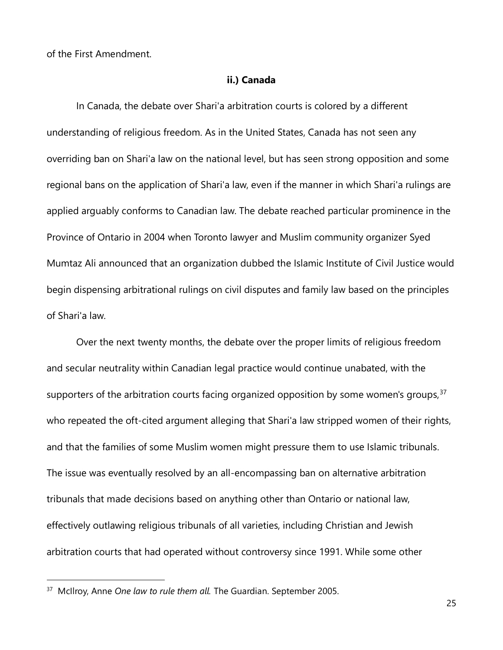of the First Amendment.

### **ii.) Canada**

In Canada, the debate over Shari'a arbitration courts is colored by a different understanding of religious freedom. As in the United States, Canada has not seen any overriding ban on Shari'a law on the national level, but has seen strong opposition and some regional bans on the application of Shari'a law, even if the manner in which Shari'a rulings are applied arguably conforms to Canadian law. The debate reached particular prominence in the Province of Ontario in 2004 when Toronto lawyer and Muslim community organizer Syed Mumtaz Ali announced that an organization dubbed the Islamic Institute of Civil Justice would begin dispensing arbitrational rulings on civil disputes and family law based on the principles of Shari'a law.

Over the next twenty months, the debate over the proper limits of religious freedom and secular neutrality within Canadian legal practice would continue unabated, with the supporters of the arbitration courts facing organized opposition by some women's groups,  $37$ who repeated the oft-cited argument alleging that Shari'a law stripped women of their rights, and that the families of some Muslim women might pressure them to use Islamic tribunals. The issue was eventually resolved by an all-encompassing ban on alternative arbitration tribunals that made decisions based on anything other than Ontario or national law, effectively outlawing religious tribunals of all varieties, including Christian and Jewish arbitration courts that had operated without controversy since 1991. While some other

<sup>&</sup>lt;sup>37</sup> McIlroy, Anne One law to rule them all. The Guardian. September 2005.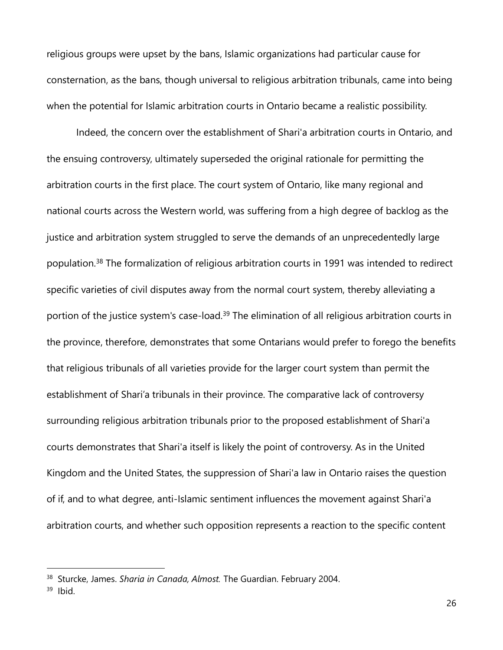religious groups were upset by the bans, Islamic organizations had particular cause for consternation, as the bans, though universal to religious arbitration tribunals, came into being when the potential for Islamic arbitration courts in Ontario became a realistic possibility.

Indeed, the concern over the establishment of Shari'a arbitration courts in Ontario, and the ensuing controversy, ultimately superseded the original rationale for permitting the arbitration courts in the first place. The court system of Ontario, like many regional and national courts across the Western world, was suffering from a high degree of backlog as the justice and arbitration system struggled to serve the demands of an unprecedentedly large population.<sup>38</sup> The formalization of religious arbitration courts in 1991 was intended to redirect specific varieties of civil disputes away from the normal court system, thereby alleviating a portion of the justice system's case-load.<sup>39</sup> The elimination of all religious arbitration courts in the province, therefore, demonstrates that some Ontarians would prefer to forego the benefits that religious tribunals of all varieties provide for the larger court system than permit the establishment of Shari'a tribunals in their province. The comparative lack of controversy surrounding religious arbitration tribunals prior to the proposed establishment of Shari'a courts demonstrates that Shari'a itself is likely the point of controversy. As in the United Kingdom and the United States, the suppression of Shari'a law in Ontario raises the question of if, and to what degree, anti-Islamic sentiment influences the movement against Shari'a arbitration courts, and whether such opposition represents a reaction to the specific content

<sup>38</sup> Sturcke, James. *Sharia in Canada, Almost.* The Guardian. February 2004.

<sup>39</sup> Ibid.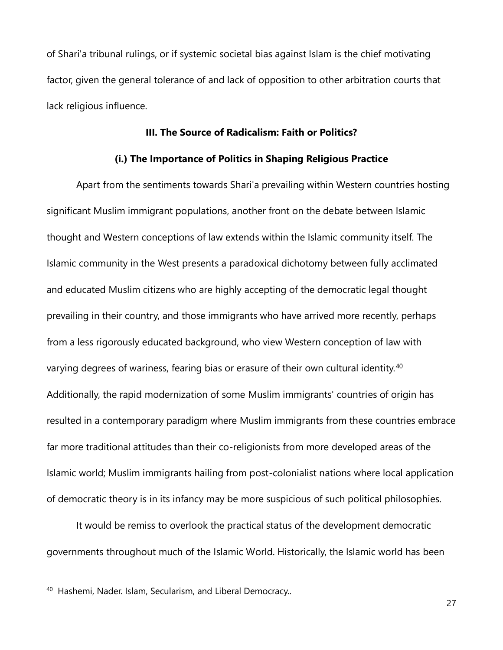of Shari'a tribunal rulings, or if systemic societal bias against Islam is the chief motivating factor, given the general tolerance of and lack of opposition to other arbitration courts that lack religious influence.

### **III. The Source of Radicalism: Faith or Politics?**

## **(i.) The Importance of Politics in Shaping Religious Practice**

Apart from the sentiments towards Shari'a prevailing within Western countries hosting significant Muslim immigrant populations, another front on the debate between Islamic thought and Western conceptions of law extends within the Islamic community itself. The Islamic community in the West presents a paradoxical dichotomy between fully acclimated and educated Muslim citizens who are highly accepting of the democratic legal thought prevailing in their country, and those immigrants who have arrived more recently, perhaps from a less rigorously educated background, who view Western conception of law with varying degrees of wariness, fearing bias or erasure of their own cultural identity.<sup>40</sup> Additionally, the rapid modernization of some Muslim immigrants' countries of origin has resulted in a contemporary paradigm where Muslim immigrants from these countries embrace far more traditional attitudes than their co-religionists from more developed areas of the Islamic world; Muslim immigrants hailing from post-colonialist nations where local application of democratic theory is in its infancy may be more suspicious of such political philosophies.

It would be remiss to overlook the practical status of the development democratic governments throughout much of the Islamic World. Historically, the Islamic world has been

<sup>40</sup> Hashemi, Nader. Islam, Secularism, and Liberal Democracy..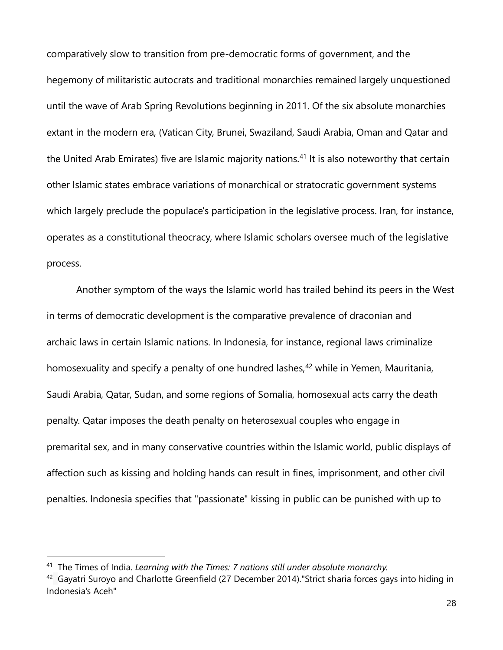comparatively slow to transition from pre-democratic forms of government, and the hegemony of militaristic autocrats and traditional monarchies remained largely unquestioned until the wave of Arab Spring Revolutions beginning in 2011. Of the six absolute monarchies extant in the modern era, (Vatican City, Brunei, Swaziland, Saudi Arabia, Oman and Qatar and the United Arab Emirates) five are Islamic majority nations.<sup>41</sup> It is also noteworthy that certain other Islamic states embrace variations of monarchical or stratocratic government systems which largely preclude the populace's participation in the legislative process. Iran, for instance, operates as a constitutional theocracy, where Islamic scholars oversee much of the legislative process.

Another symptom of the ways the Islamic world has trailed behind its peers in the West in terms of democratic development is the comparative prevalence of draconian and archaic laws in certain Islamic nations. In Indonesia, for instance, regional laws criminalize homosexuality and specify a penalty of one hundred lashes,<sup>42</sup> while in Yemen, Mauritania, Saudi Arabia, Qatar, Sudan, and some regions of Somalia, homosexual acts carry the death penalty. Qatar imposes the death penalty on heterosexual couples who engage in premarital sex, and in many conservative countries within the Islamic world, public displays of affection such as kissing and holding hands can result in fines, imprisonment, and other civil penalties. Indonesia specifies that "passionate" kissing in public can be punished with up to

<sup>41</sup> The Times of India. *Learning with the Times: 7 nations still under absolute monarchy.*

 $42$  Gayatri Suroyo and Charlotte Greenfield (27 December 2014). "Strict sharia forces gays into hiding in Indonesia's Aceh"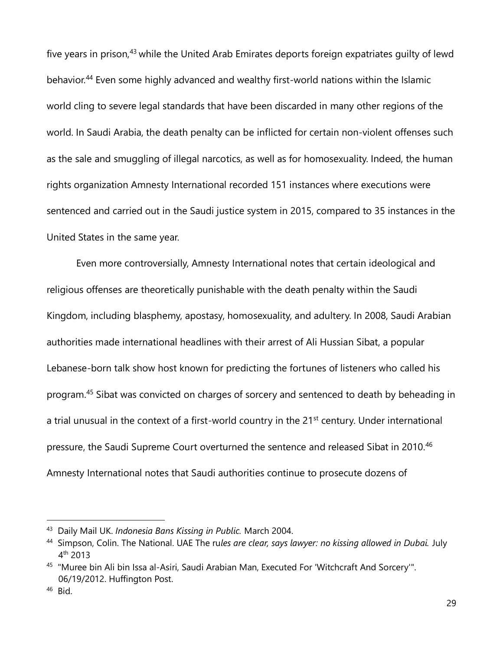five years in prison,<sup>43</sup> while the United Arab Emirates deports foreign expatriates quilty of lewd behavior.<sup>44</sup> Even some highly advanced and wealthy first-world nations within the Islamic world cling to severe legal standards that have been discarded in many other regions of the world. In Saudi Arabia, the death penalty can be inflicted for certain non-violent offenses such as the sale and smuggling of illegal narcotics, as well as for homosexuality. Indeed, the human rights organization Amnesty International recorded 151 instances where executions were sentenced and carried out in the Saudi justice system in 2015, compared to 35 instances in the United States in the same year.

Even more controversially, Amnesty International notes that certain ideological and religious offenses are theoretically punishable with the death penalty within the Saudi Kingdom, including blasphemy, apostasy, homosexuality, and adultery. In 2008, Saudi Arabian authorities made international headlines with their arrest of Ali Hussian Sibat, a popular Lebanese-born talk show host known for predicting the fortunes of listeners who called his program.<sup>45</sup> Sibat was convicted on charges of sorcery and sentenced to death by beheading in a trial unusual in the context of a first-world country in the 21<sup>st</sup> century. Under international pressure, the Saudi Supreme Court overturned the sentence and released Sibat in 2010.<sup>46</sup> Amnesty International notes that Saudi authorities continue to prosecute dozens of

<sup>43</sup> Daily Mail UK. *Indonesia Bans Kissing in Public.* March 2004.

<sup>44</sup> Simpson, Colin. The National. UAE The ru*les are clear, says lawyer: no kissing allowed in Dubai.* July 4 th 2013

<sup>45 &</sup>quot;Muree bin Ali bin Issa al-Asiri, Saudi Arabian Man, Executed For 'Witchcraft And Sorcery'". 06/19/2012. Huffington Post.

<sup>46</sup> Bid.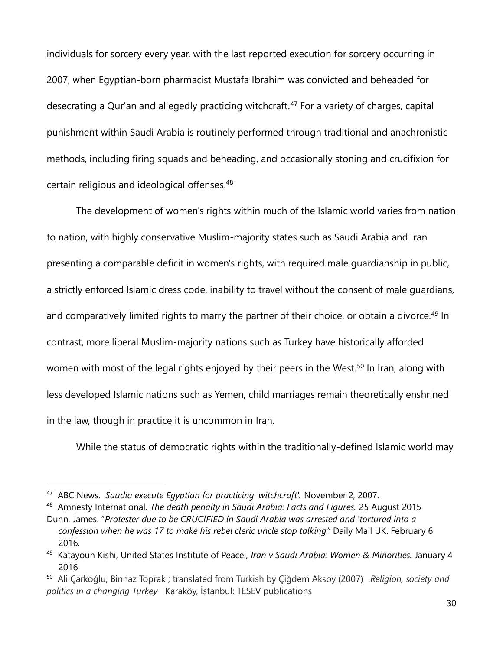individuals for sorcery every year, with the last reported execution for sorcery occurring in 2007, when Egyptian-born pharmacist Mustafa Ibrahim was convicted and beheaded for desecrating a Qur'an and allegedly practicing witchcraft.<sup>47</sup> For a variety of charges, capital punishment within Saudi Arabia is routinely performed through traditional and anachronistic methods, including firing squads and beheading, and occasionally stoning and crucifixion for certain religious and ideological offenses. 48

The development of women's rights within much of the Islamic world varies from nation to nation, with highly conservative Muslim-majority states such as Saudi Arabia and Iran presenting a comparable deficit in women's rights, with required male guardianship in public, a strictly enforced Islamic dress code, inability to travel without the consent of male guardians, and comparatively limited rights to marry the partner of their choice, or obtain a divorce.<sup>49</sup> In contrast, more liberal Muslim-majority nations such as Turkey have historically afforded women with most of the legal rights enjoyed by their peers in the West.<sup>50</sup> In Iran, along with less developed Islamic nations such as Yemen, child marriages remain theoretically enshrined in the law, though in practice it is uncommon in Iran.

While the status of democratic rights within the traditionally-defined Islamic world may

<sup>47</sup> ABC News. *Saudia execute Egyptian for practicing 'witchcraft'.* November 2, 2007.

<sup>48</sup> Amnesty International. *The death penalty in Saudi Arabia: Facts and Figures.* 25 August 2015

Dunn, James. "*Protester due to be CRUCIFIED in Saudi Arabia was arrested and 'tortured into a confession when he was 17 to make his rebel cleric uncle stop talking."* Daily Mail UK. February 6 2016.

<sup>49</sup> Katayoun Kishi, United States Institute of Peace., *Iran v Saudi Arabia: Women & Minorities.* January 4 2016

<sup>50</sup> Ali Çarkoğlu, Binnaz Toprak ; translated from Turkish by Çiğdem Aksoy (2007) .*Religion, society and politics in a changing Turkey* Karaköy, İstanbul: TESEV publications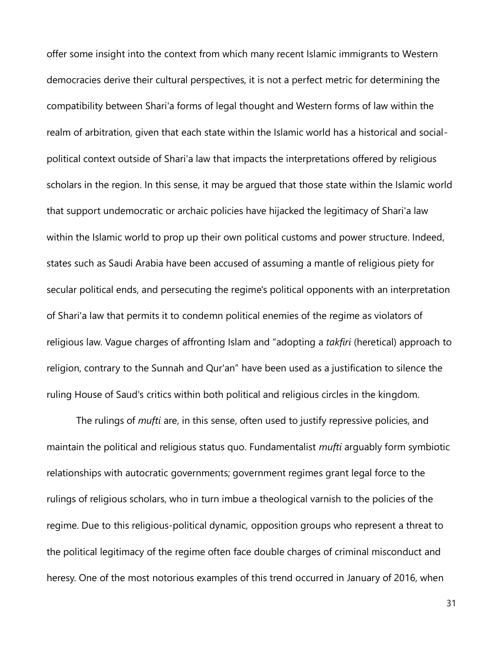offer some insight into the context from which many recent Islamic immigrants to Western democracies derive their cultural perspectives, it is not a perfect metric for determining the compatibility between Shari'a forms of legal thought and Western forms of law within the realm of arbitration, given that each state within the Islamic world has a historical and socialpolitical context outside of Shari'a law that impacts the interpretations offered by religious scholars in the region. In this sense, it may be argued that those state within the Islamic world that support undemocratic or archaic policies have hijacked the legitimacy of Shari'a law within the Islamic world to prop up their own political customs and power structure. Indeed, states such as Saudi Arabia have been accused of assuming a mantle of religious piety for secular political ends, and persecuting the regime's political opponents with an interpretation of Shari'a law that permits it to condemn political enemies of the regime as violators of religious law. Vague charges of affronting Islam and "adopting a *takfiri* (heretical) approach to religion, contrary to the Sunnah and Qur'an" have been used as a justification to silence the ruling House of Saud's critics within both political and religious circles in the kingdom.

The rulings of *mufti* are, in this sense, often used to justify repressive policies, and maintain the political and religious status quo. Fundamentalist *mufti* arguably form symbiotic relationships with autocratic governments; government regimes grant legal force to the rulings of religious scholars, who in turn imbue a theological varnish to the policies of the regime. Due to this religious-political dynamic, opposition groups who represent a threat to the political legitimacy of the regime often face double charges of criminal misconduct and heresy. One of the most notorious examples of this trend occurred in January of 2016, when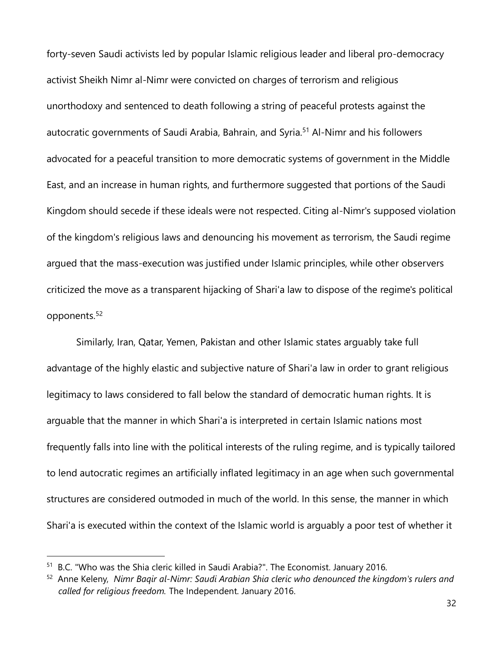forty-seven Saudi activists led by popular Islamic religious leader and liberal pro-democracy activist Sheikh Nimr al-Nimr were convicted on charges of terrorism and religious unorthodoxy and sentenced to death following a string of peaceful protests against the autocratic governments of Saudi Arabia, Bahrain, and Syria.<sup>51</sup> Al-Nimr and his followers advocated for a peaceful transition to more democratic systems of government in the Middle East, and an increase in human rights, and furthermore suggested that portions of the Saudi Kingdom should secede if these ideals were not respected. Citing al-Nimr's supposed violation of the kingdom's religious laws and denouncing his movement as terrorism, the Saudi regime argued that the mass-execution was justified under Islamic principles, while other observers criticized the move as a transparent hijacking of Shari'a law to dispose of the regime's political opponents.<sup>52</sup>

Similarly, Iran, Qatar, Yemen, Pakistan and other Islamic states arguably take full advantage of the highly elastic and subjective nature of Shari'a law in order to grant religious legitimacy to laws considered to fall below the standard of democratic human rights. It is arguable that the manner in which Shari'a is interpreted in certain Islamic nations most frequently falls into line with the political interests of the ruling regime, and is typically tailored to lend autocratic regimes an artificially inflated legitimacy in an age when such governmental structures are considered outmoded in much of the world. In this sense, the manner in which Shari'a is executed within the context of the Islamic world is arguably a poor test of whether it

<sup>&</sup>lt;sup>51</sup> B.C. "Who was the Shia cleric killed in Saudi Arabia?". The Economist. January 2016.

<sup>52</sup> Anne Keleny, *Nimr Baqir al-Nimr: Saudi Arabian Shia cleric who denounced the kingdom's rulers and called for religious freedom.* The Independent. January 2016.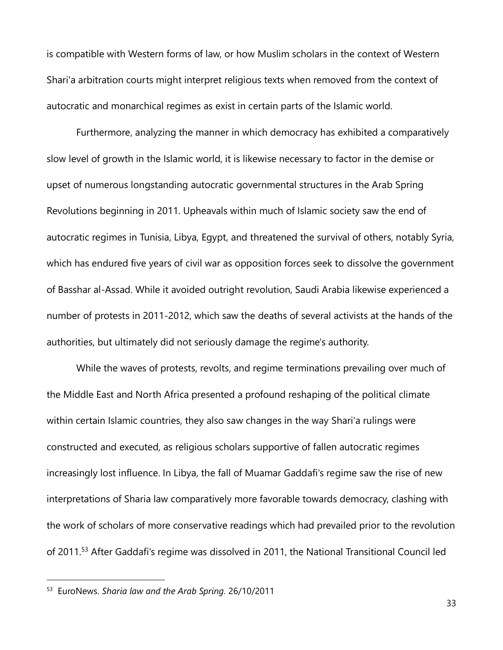is compatible with Western forms of law, or how Muslim scholars in the context of Western Shari'a arbitration courts might interpret religious texts when removed from the context of autocratic and monarchical regimes as exist in certain parts of the Islamic world.

Furthermore, analyzing the manner in which democracy has exhibited a comparatively slow level of growth in the Islamic world, it is likewise necessary to factor in the demise or upset of numerous longstanding autocratic governmental structures in the Arab Spring Revolutions beginning in 2011. Upheavals within much of Islamic society saw the end of autocratic regimes in Tunisia, Libya, Egypt, and threatened the survival of others, notably Syria, which has endured five years of civil war as opposition forces seek to dissolve the government of Basshar al-Assad. While it avoided outright revolution, Saudi Arabia likewise experienced a number of protests in 2011-2012, which saw the deaths of several activists at the hands of the authorities, but ultimately did not seriously damage the regime's authority.

While the waves of protests, revolts, and regime terminations prevailing over much of the Middle East and North Africa presented a profound reshaping of the political climate within certain Islamic countries, they also saw changes in the way Shari'a rulings were constructed and executed, as religious scholars supportive of fallen autocratic regimes increasingly lost influence. In Libya, the fall of Muamar Gaddafi's regime saw the rise of new interpretations of Sharia law comparatively more favorable towards democracy, clashing with the work of scholars of more conservative readings which had prevailed prior to the revolution of 2011.<sup>53</sup> After Gaddafi's regime was dissolved in 2011, the National Transitional Council led

<sup>53</sup> EuroNews. *Sharia law and the Arab Spring.* 26/10/2011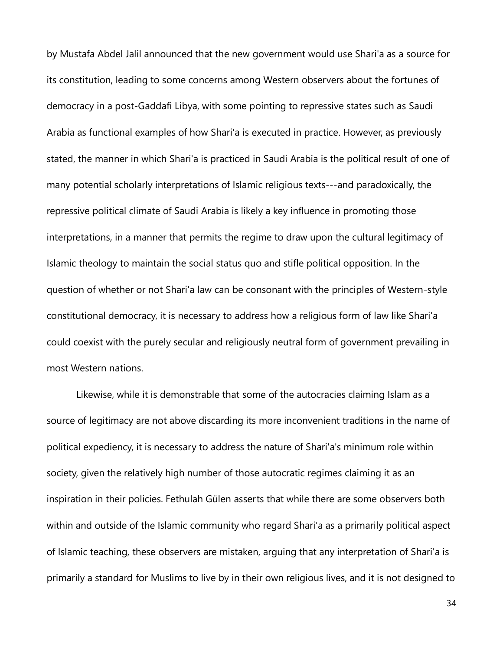by Mustafa Abdel Jalil announced that the new government would use Shari'a as a source for its constitution, leading to some concerns among Western observers about the fortunes of democracy in a post-Gaddafi Libya, with some pointing to repressive states such as Saudi Arabia as functional examples of how Shari'a is executed in practice. However, as previously stated, the manner in which Shari'a is practiced in Saudi Arabia is the political result of one of many potential scholarly interpretations of Islamic religious texts---and paradoxically, the repressive political climate of Saudi Arabia is likely a key influence in promoting those interpretations, in a manner that permits the regime to draw upon the cultural legitimacy of Islamic theology to maintain the social status quo and stifle political opposition. In the question of whether or not Shari'a law can be consonant with the principles of Western-style constitutional democracy, it is necessary to address how a religious form of law like Shari'a could coexist with the purely secular and religiously neutral form of government prevailing in most Western nations.

Likewise, while it is demonstrable that some of the autocracies claiming Islam as a source of legitimacy are not above discarding its more inconvenient traditions in the name of political expediency, it is necessary to address the nature of Shari'a's minimum role within society, given the relatively high number of those autocratic regimes claiming it as an inspiration in their policies. Fethulah Gülen asserts that while there are some observers both within and outside of the Islamic community who regard Shari'a as a primarily political aspect of Islamic teaching, these observers are mistaken, arguing that any interpretation of Shari'a is primarily a standard for Muslims to live by in their own religious lives, and it is not designed to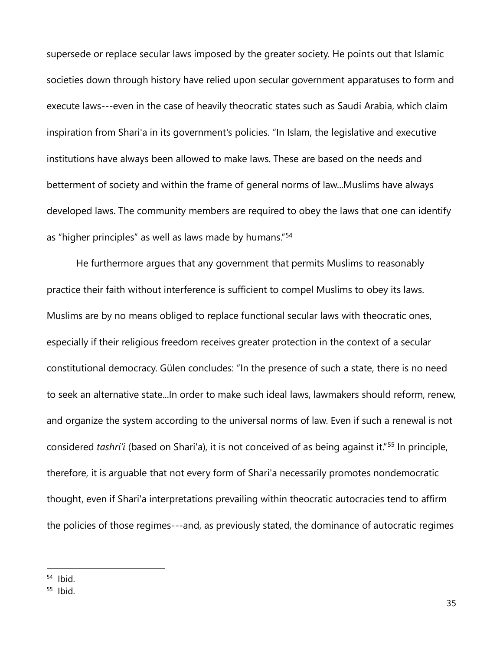supersede or replace secular laws imposed by the greater society. He points out that Islamic societies down through history have relied upon secular government apparatuses to form and execute laws---even in the case of heavily theocratic states such as Saudi Arabia, which claim inspiration from Shari'a in its government's policies. "In Islam, the legislative and executive institutions have always been allowed to make laws. These are based on the needs and betterment of society and within the frame of general norms of law...Muslims have always developed laws. The community members are required to obey the laws that one can identify as "higher principles" as well as laws made by humans."<sup>54</sup>

He furthermore argues that any government that permits Muslims to reasonably practice their faith without interference is sufficient to compel Muslims to obey its laws. Muslims are by no means obliged to replace functional secular laws with theocratic ones, especially if their religious freedom receives greater protection in the context of a secular constitutional democracy. Gülen concludes: "In the presence of such a state, there is no need to seek an alternative state...In order to make such ideal laws, lawmakers should reform, renew, and organize the system according to the universal norms of law. Even if such a renewal is not considered *tashri'i* (based on Shari'a), it is not conceived of as being against it."<sup>55</sup> In principle, therefore, it is arguable that not every form of Shari'a necessarily promotes nondemocratic thought, even if Shari'a interpretations prevailing within theocratic autocracies tend to affirm the policies of those regimes---and, as previously stated, the dominance of autocratic regimes

<sup>54</sup> Ibid.

<sup>55</sup> Ibid.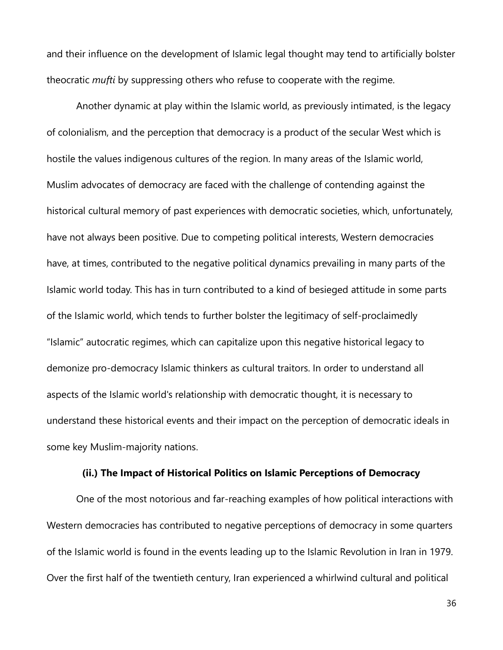and their influence on the development of Islamic legal thought may tend to artificially bolster theocratic *mufti* by suppressing others who refuse to cooperate with the regime.

Another dynamic at play within the Islamic world, as previously intimated, is the legacy of colonialism, and the perception that democracy is a product of the secular West which is hostile the values indigenous cultures of the region. In many areas of the Islamic world, Muslim advocates of democracy are faced with the challenge of contending against the historical cultural memory of past experiences with democratic societies, which, unfortunately, have not always been positive. Due to competing political interests, Western democracies have, at times, contributed to the negative political dynamics prevailing in many parts of the Islamic world today. This has in turn contributed to a kind of besieged attitude in some parts of the Islamic world, which tends to further bolster the legitimacy of self-proclaimedly "Islamic" autocratic regimes, which can capitalize upon this negative historical legacy to demonize pro-democracy Islamic thinkers as cultural traitors. In order to understand all aspects of the Islamic world's relationship with democratic thought, it is necessary to understand these historical events and their impact on the perception of democratic ideals in some key Muslim-majority nations.

#### **(ii.) The Impact of Historical Politics on Islamic Perceptions of Democracy**

One of the most notorious and far-reaching examples of how political interactions with Western democracies has contributed to negative perceptions of democracy in some quarters of the Islamic world is found in the events leading up to the Islamic Revolution in Iran in 1979. Over the first half of the twentieth century, Iran experienced a whirlwind cultural and political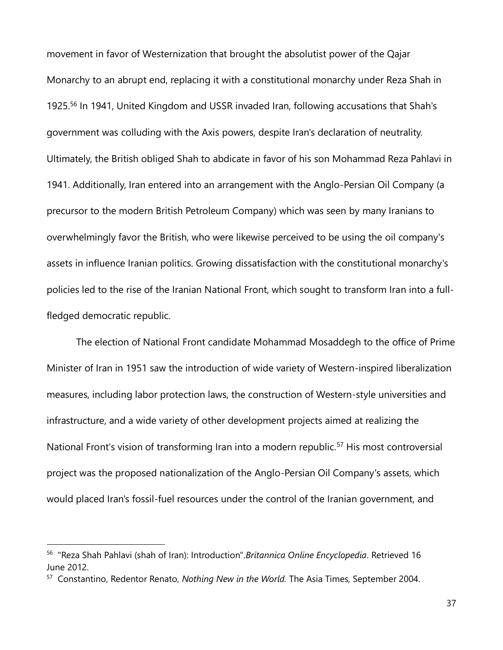movement in favor of Westernization that brought the absolutist power of the Qajar Monarchy to an abrupt end, replacing it with a constitutional monarchy under Reza Shah in 1925.<sup>56</sup> In 1941, United Kingdom and USSR invaded Iran, following accusations that Shah's government was colluding with the Axis powers, despite Iran's declaration of neutrality. Ultimately, the British obliged Shah to abdicate in favor of his son Mohammad Reza Pahlavi in 1941. Additionally, Iran entered into an arrangement with the Anglo-Persian Oil Company (a precursor to the modern British Petroleum Company) which was seen by many Iranians to overwhelmingly favor the British, who were likewise perceived to be using the oil company's assets in influence Iranian politics. Growing dissatisfaction with the constitutional monarchy's policies led to the rise of the Iranian National Front, which sought to transform Iran into a fullfledged democratic republic.

The election of National Front candidate Mohammad Mosaddegh to the office of Prime Minister of Iran in 1951 saw the introduction of wide variety of Western-inspired liberalization measures, including labor protection laws, the construction of Western-style universities and infrastructure, and a wide variety of other development projects aimed at realizing the National Front's vision of transforming Iran into a modern republic.<sup>57</sup> His most controversial project was the proposed nationalization of the Anglo-Persian Oil Company's assets, which would placed Iran's fossil-fuel resources under the control of the Iranian government, and

<sup>56</sup> "Reza Shah Pahlavi (shah of Iran): Introduction".*Britannica Online Encyclopedia*. Retrieved 16 June 2012.

<sup>57</sup> Constantino, Redentor Renato, *Nothing New in the World.* The Asia Times, September 2004.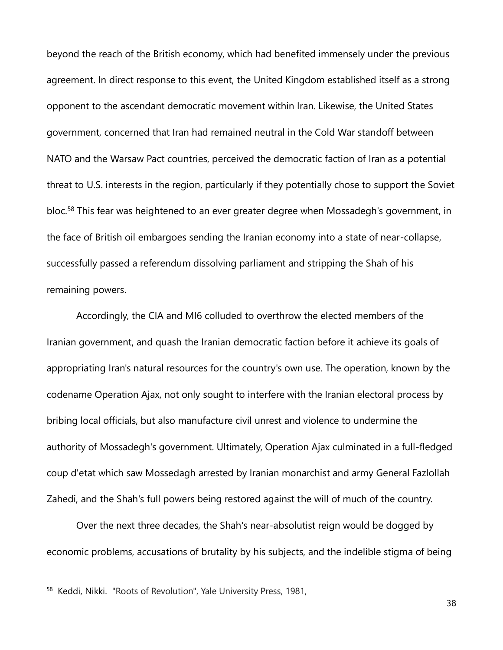beyond the reach of the British economy, which had benefited immensely under the previous agreement. In direct response to this event, the United Kingdom established itself as a strong opponent to the ascendant democratic movement within Iran. Likewise, the United States government, concerned that Iran had remained neutral in the Cold War standoff between NATO and the Warsaw Pact countries, perceived the democratic faction of Iran as a potential threat to U.S. interests in the region, particularly if they potentially chose to support the Soviet bloc.<sup>58</sup> This fear was heightened to an ever greater degree when Mossadegh's government, in the face of British oil embargoes sending the Iranian economy into a state of near-collapse, successfully passed a referendum dissolving parliament and stripping the Shah of his remaining powers.

Accordingly, the CIA and MI6 colluded to overthrow the elected members of the Iranian government, and quash the Iranian democratic faction before it achieve its goals of appropriating Iran's natural resources for the country's own use. The operation, known by the codename Operation Ajax, not only sought to interfere with the Iranian electoral process by bribing local officials, but also manufacture civil unrest and violence to undermine the authority of Mossadegh's government. Ultimately, Operation Ajax culminated in a full-fledged coup d'etat which saw Mossedagh arrested by Iranian monarchist and army General Fazlollah Zahedi, and the Shah's full powers being restored against the will of much of the country.

Over the next three decades, the Shah's near-absolutist reign would be dogged by economic problems, accusations of brutality by his subjects, and the indelible stigma of being

<sup>&</sup>lt;sup>58</sup> Keddi, Nikki. "Roots of Revolution", Yale University Press, 1981,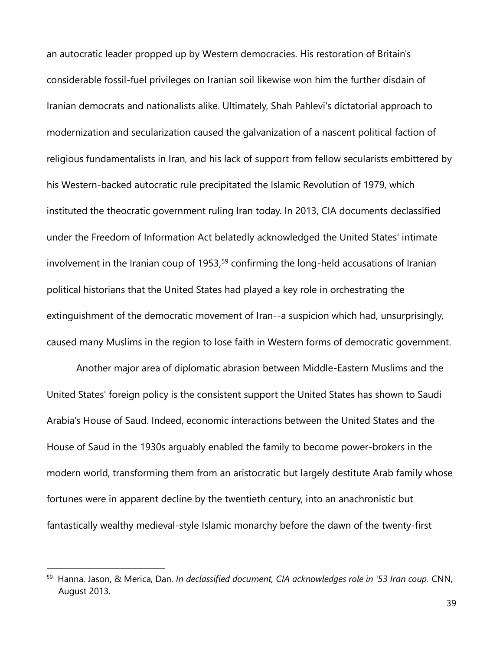an autocratic leader propped up by Western democracies. His restoration of Britain's considerable fossil-fuel privileges on Iranian soil likewise won him the further disdain of Iranian democrats and nationalists alike. Ultimately, Shah Pahlevi's dictatorial approach to modernization and secularization caused the galvanization of a nascent political faction of religious fundamentalists in Iran, and his lack of support from fellow secularists embittered by his Western-backed autocratic rule precipitated the Islamic Revolution of 1979, which instituted the theocratic government ruling Iran today. In 2013, CIA documents declassified under the Freedom of Information Act belatedly acknowledged the United States' intimate involvement in the Iranian coup of 1953, <sup>59</sup> confirming the long-held accusations of Iranian political historians that the United States had played a key role in orchestrating the extinguishment of the democratic movement of Iran--a suspicion which had, unsurprisingly, caused many Muslims in the region to lose faith in Western forms of democratic government.

Another major area of diplomatic abrasion between Middle-Eastern Muslims and the United States' foreign policy is the consistent support the United States has shown to Saudi Arabia's House of Saud. Indeed, economic interactions between the United States and the House of Saud in the 1930s arguably enabled the family to become power-brokers in the modern world, transforming them from an aristocratic but largely destitute Arab family whose fortunes were in apparent decline by the twentieth century, into an anachronistic but fantastically wealthy medieval-style Islamic monarchy before the dawn of the twenty-first

<sup>59</sup> Hanna, Jason, & Merica, Dan. *In declassified document, CIA acknowledges role in '53 Iran coup.* CNN, August 2013.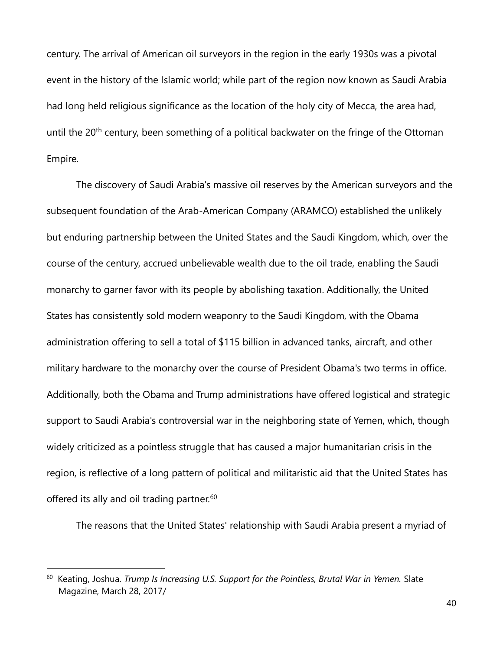century. The arrival of American oil surveyors in the region in the early 1930s was a pivotal event in the history of the Islamic world; while part of the region now known as Saudi Arabia had long held religious significance as the location of the holy city of Mecca, the area had, until the 20<sup>th</sup> century, been something of a political backwater on the fringe of the Ottoman Empire.

The discovery of Saudi Arabia's massive oil reserves by the American surveyors and the subsequent foundation of the Arab-American Company (ARAMCO) established the unlikely but enduring partnership between the United States and the Saudi Kingdom, which, over the course of the century, accrued unbelievable wealth due to the oil trade, enabling the Saudi monarchy to garner favor with its people by abolishing taxation. Additionally, the United States has consistently sold modern weaponry to the Saudi Kingdom, with the Obama administration offering to sell a total of \$115 billion in advanced tanks, aircraft, and other military hardware to the monarchy over the course of President Obama's two terms in office. Additionally, both the Obama and Trump administrations have offered logistical and strategic support to Saudi Arabia's controversial war in the neighboring state of Yemen, which, though widely criticized as a pointless struggle that has caused a major humanitarian crisis in the region, is reflective of a long pattern of political and militaristic aid that the United States has offered its ally and oil trading partner.<sup>60</sup>

The reasons that the United States' relationship with Saudi Arabia present a myriad of

 $\overline{a}$ 

<sup>60</sup> Keating, Joshua. *Trump Is Increasing U.S. Support for the Pointless, Brutal War in Yemen.* Slate Magazine, March 28, 2017/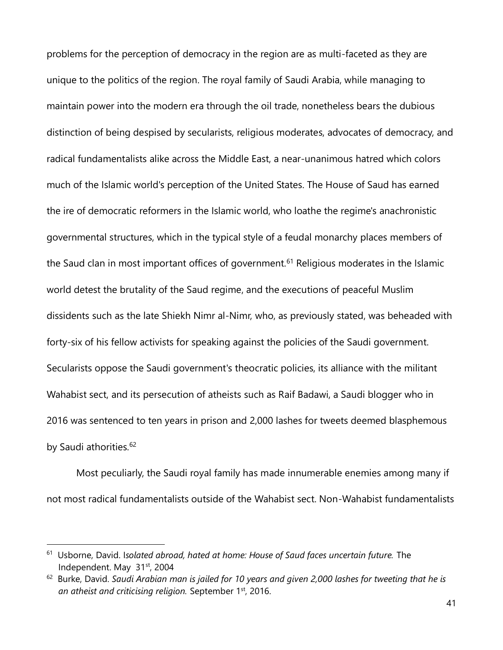problems for the perception of democracy in the region are as multi-faceted as they are unique to the politics of the region. The royal family of Saudi Arabia, while managing to maintain power into the modern era through the oil trade, nonetheless bears the dubious distinction of being despised by secularists, religious moderates, advocates of democracy, and radical fundamentalists alike across the Middle East, a near-unanimous hatred which colors much of the Islamic world's perception of the United States. The House of Saud has earned the ire of democratic reformers in the Islamic world, who loathe the regime's anachronistic governmental structures, which in the typical style of a feudal monarchy places members of the Saud clan in most important offices of government.<sup>61</sup> Religious moderates in the Islamic world detest the brutality of the Saud regime, and the executions of peaceful Muslim dissidents such as the late Shiekh Nimr al-Nimr, who, as previously stated, was beheaded with forty-six of his fellow activists for speaking against the policies of the Saudi government. Secularists oppose the Saudi government's theocratic policies, its alliance with the militant Wahabist sect, and its persecution of atheists such as Raif Badawi, a Saudi blogger who in 2016 was sentenced to ten years in prison and 2,000 lashes for tweets deemed blasphemous by Saudi athorities.<sup>62</sup>

Most peculiarly, the Saudi royal family has made innumerable enemies among many if not most radical fundamentalists outside of the Wahabist sect. Non-Wahabist fundamentalists

<sup>&</sup>lt;sup>61</sup> Usborne, David. Isolated abroad, hated at home: House of Saud faces uncertain future. The Independent. May 31<sup>st</sup>, 2004

<sup>&</sup>lt;sup>62</sup> Burke, David. Saudi Arabian man is jailed for 10 years and given 2,000 lashes for tweeting that he is *an atheist and criticising religion.* September 1st, 2016.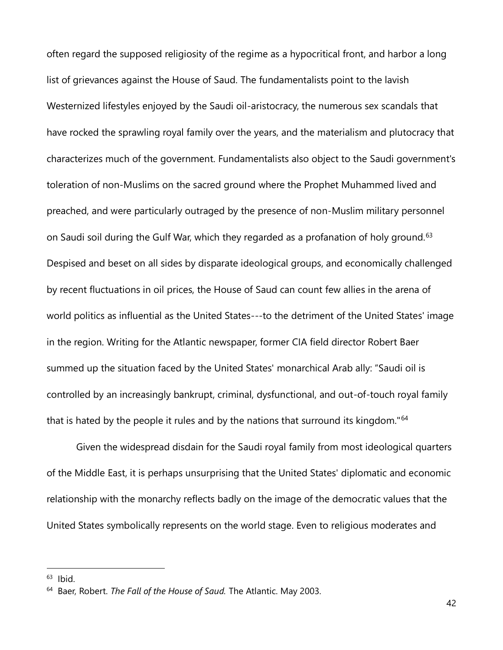often regard the supposed religiosity of the regime as a hypocritical front, and harbor a long list of grievances against the House of Saud. The fundamentalists point to the lavish Westernized lifestyles enjoyed by the Saudi oil-aristocracy, the numerous sex scandals that have rocked the sprawling royal family over the years, and the materialism and plutocracy that characterizes much of the government. Fundamentalists also object to the Saudi government's toleration of non-Muslims on the sacred ground where the Prophet Muhammed lived and preached, and were particularly outraged by the presence of non-Muslim military personnel on Saudi soil during the Gulf War, which they regarded as a profanation of holy ground.<sup>63</sup> Despised and beset on all sides by disparate ideological groups, and economically challenged by recent fluctuations in oil prices, the House of Saud can count few allies in the arena of world politics as influential as the United States---to the detriment of the United States' image in the region. Writing for the Atlantic newspaper, former CIA field director Robert Baer summed up the situation faced by the United States' monarchical Arab ally: "Saudi oil is controlled by an increasingly bankrupt, criminal, dysfunctional, and out-of-touch royal family that is hated by the people it rules and by the nations that surround its kingdom."<sup>64</sup>

Given the widespread disdain for the Saudi royal family from most ideological quarters of the Middle East, it is perhaps unsurprising that the United States' diplomatic and economic relationship with the monarchy reflects badly on the image of the democratic values that the United States symbolically represents on the world stage. Even to religious moderates and

 $63$  Ibid.

<sup>64</sup> Baer, Robert. *The Fall of the House of Saud.* The Atlantic. May 2003.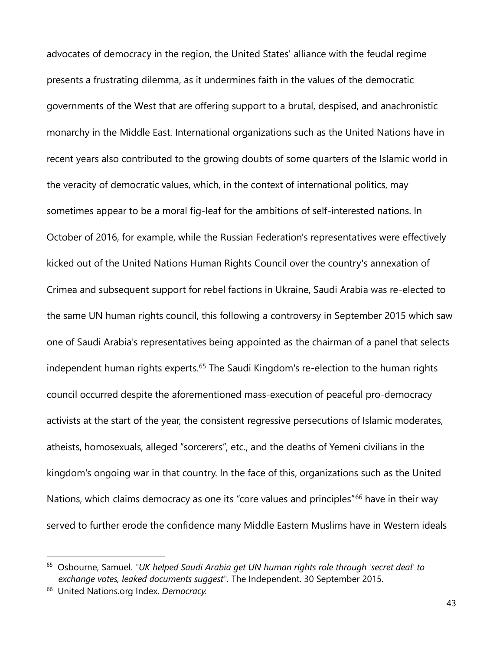advocates of democracy in the region, the United States' alliance with the feudal regime presents a frustrating dilemma, as it undermines faith in the values of the democratic governments of the West that are offering support to a brutal, despised, and anachronistic monarchy in the Middle East. International organizations such as the United Nations have in recent years also contributed to the growing doubts of some quarters of the Islamic world in the veracity of democratic values, which, in the context of international politics, may sometimes appear to be a moral fig-leaf for the ambitions of self-interested nations. In October of 2016, for example, while the Russian Federation's representatives were effectively kicked out of the United Nations Human Rights Council over the country's annexation of Crimea and subsequent support for rebel factions in Ukraine, Saudi Arabia was re-elected to the same UN human rights council, this following a controversy in September 2015 which saw one of Saudi Arabia's representatives being appointed as the chairman of a panel that selects independent human rights experts.<sup>65</sup> The Saudi Kingdom's re-election to the human rights council occurred despite the aforementioned mass-execution of peaceful pro-democracy activists at the start of the year, the consistent regressive persecutions of Islamic moderates, atheists, homosexuals, alleged "sorcerers", etc., and the deaths of Yemeni civilians in the kingdom's ongoing war in that country. In the face of this, organizations such as the United Nations, which claims democracy as one its "core values and principles"<sup>66</sup> have in their way served to further erode the confidence many Middle Eastern Muslims have in Western ideals

<sup>65</sup> Osbourne, Samuel. *"UK helped Saudi Arabia get UN human rights role through 'secret deal' to exchange votes, leaked documents suggest".* The Independent. 30 September 2015.

<sup>66</sup> United Nations.org Index. *Democracy.*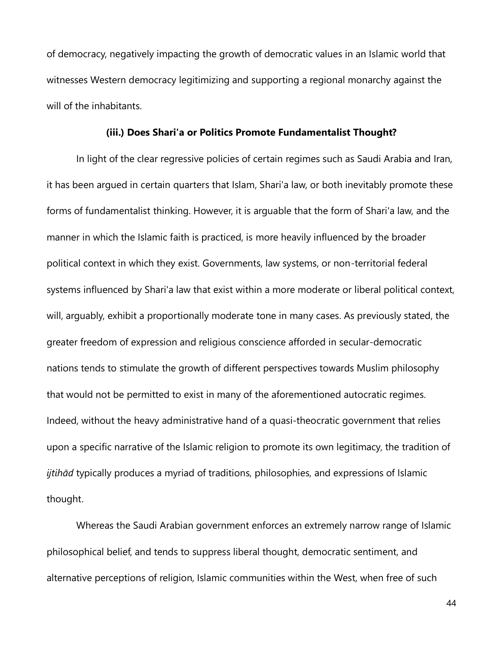of democracy, negatively impacting the growth of democratic values in an Islamic world that witnesses Western democracy legitimizing and supporting a regional monarchy against the will of the inhabitants.

### **(iii.) Does Shari'a or Politics Promote Fundamentalist Thought?**

In light of the clear regressive policies of certain regimes such as Saudi Arabia and Iran, it has been argued in certain quarters that Islam, Shari'a law, or both inevitably promote these forms of fundamentalist thinking. However, it is arguable that the form of Shari'a law, and the manner in which the Islamic faith is practiced, is more heavily influenced by the broader political context in which they exist. Governments, law systems, or non-territorial federal systems influenced by Shari'a law that exist within a more moderate or liberal political context, will, arguably, exhibit a proportionally moderate tone in many cases. As previously stated, the greater freedom of expression and religious conscience afforded in secular-democratic nations tends to stimulate the growth of different perspectives towards Muslim philosophy that would not be permitted to exist in many of the aforementioned autocratic regimes. Indeed, without the heavy administrative hand of a quasi-theocratic government that relies upon a specific narrative of the Islamic religion to promote its own legitimacy, the tradition of *ijtihād* typically produces a myriad of traditions, philosophies, and expressions of Islamic thought.

Whereas the Saudi Arabian government enforces an extremely narrow range of Islamic philosophical belief, and tends to suppress liberal thought, democratic sentiment, and alternative perceptions of religion, Islamic communities within the West, when free of such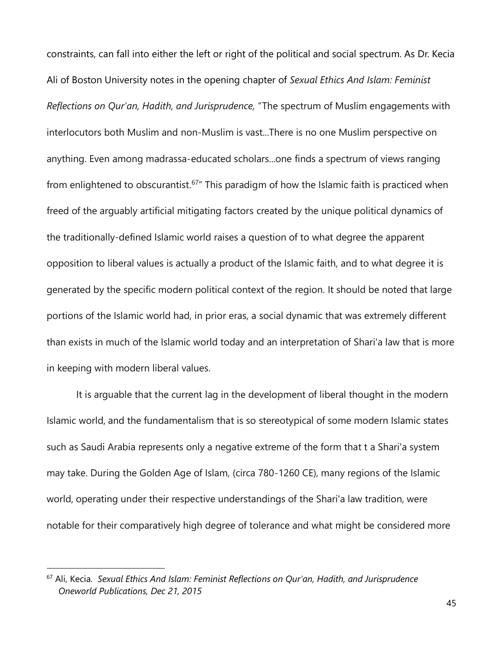constraints, can fall into either the left or right of the political and social spectrum. As Dr. Kecia Ali of Boston University notes in the opening chapter of *Sexual Ethics And Islam: Feminist Reflections on Qur'an, Hadith, and Jurisprudence,* "The spectrum of Muslim engagements with interlocutors both Muslim and non-Muslim is vast...There is no one Muslim perspective on anything. Even among madrassa-educated scholars...one finds a spectrum of views ranging from enlightened to obscurantist.<sup>67</sup> This paradigm of how the Islamic faith is practiced when freed of the arguably artificial mitigating factors created by the unique political dynamics of the traditionally-defined Islamic world raises a question of to what degree the apparent opposition to liberal values is actually a product of the Islamic faith, and to what degree it is generated by the specific modern political context of the region. It should be noted that large portions of the Islamic world had, in prior eras, a social dynamic that was extremely different than exists in much of the Islamic world today and an interpretation of Shari'a law that is more in keeping with modern liberal values.

It is arguable that the current lag in the development of liberal thought in the modern Islamic world, and the fundamentalism that is so stereotypical of some modern Islamic states such as Saudi Arabia represents only a negative extreme of the form that t a Shari'a system may take. During the Golden Age of Islam, (circa 780-1260 CE), many regions of the Islamic world, operating under their respective understandings of the Shari'a law tradition, were notable for their comparatively high degree of tolerance and what might be considered more

<sup>67</sup> Ali, Kecia. *Sexual Ethics And Islam: Feminist Reflections on Qur'an, Hadith, and Jurisprudence Oneworld Publications, Dec 21, 2015*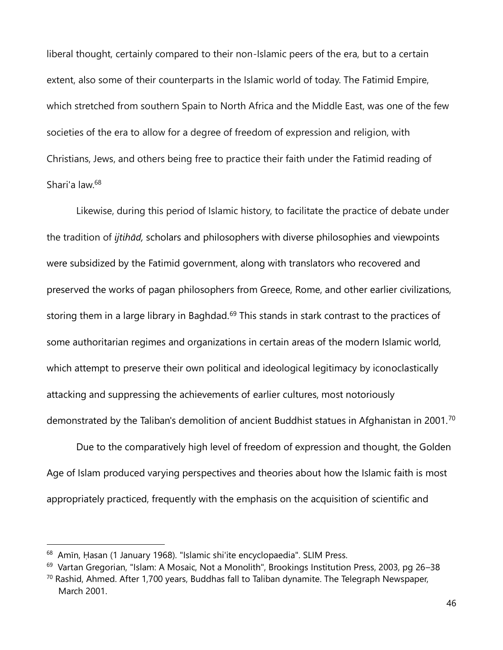liberal thought, certainly compared to their non-Islamic peers of the era, but to a certain extent, also some of their counterparts in the Islamic world of today. The Fatimid Empire, which stretched from southern Spain to North Africa and the Middle East, was one of the few societies of the era to allow for a degree of freedom of expression and religion, with Christians, Jews, and others being free to practice their faith under the Fatimid reading of Shari'a law.<sup>68</sup>

Likewise, during this period of Islamic history, to facilitate the practice of debate under the tradition of *ijtihād,* scholars and philosophers with diverse philosophies and viewpoints were subsidized by the Fatimid government, along with translators who recovered and preserved the works of pagan philosophers from Greece, Rome, and other earlier civilizations, storing them in a large library in Baghdad.<sup>69</sup> This stands in stark contrast to the practices of some authoritarian regimes and organizations in certain areas of the modern Islamic world, which attempt to preserve their own political and ideological legitimacy by iconoclastically attacking and suppressing the achievements of earlier cultures, most notoriously demonstrated by the Taliban's demolition of ancient Buddhist statues in Afghanistan in 2001.<sup>70</sup>

Due to the comparatively high level of freedom of expression and thought, the Golden Age of Islam produced varying perspectives and theories about how the Islamic faith is most appropriately practiced, frequently with the emphasis on the acquisition of scientific and

<sup>&</sup>lt;sup>68</sup> Amīn, Ḥasan (1 January 1968). "Islamic shi'ite encyclopaedia". SLIM Press.

<sup>&</sup>lt;sup>69</sup> Vartan Gregorian, "Islam: A Mosaic, Not a Monolith", Brookings Institution Press, 2003, pg 26–38  $70$  Rashid, Ahmed. After 1,700 years, Buddhas fall to Taliban dynamite. The Telegraph Newspaper,

March 2001.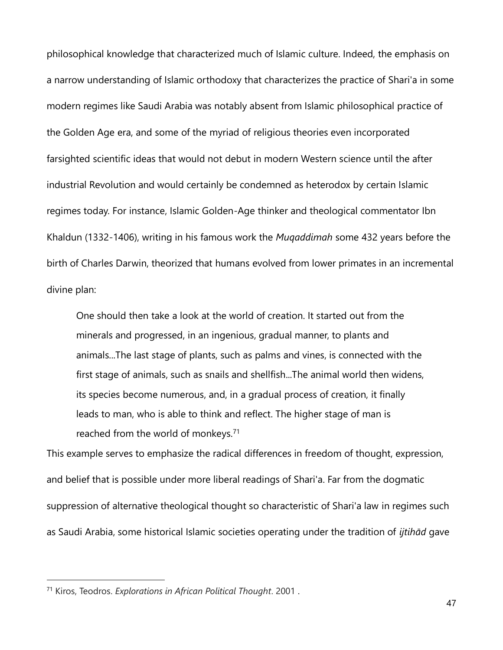philosophical knowledge that characterized much of Islamic culture. Indeed, the emphasis on a narrow understanding of Islamic orthodoxy that characterizes the practice of Shari'a in some modern regimes like Saudi Arabia was notably absent from Islamic philosophical practice of the Golden Age era, and some of the myriad of religious theories even incorporated farsighted scientific ideas that would not debut in modern Western science until the after industrial Revolution and would certainly be condemned as heterodox by certain Islamic regimes today. For instance, Islamic Golden-Age thinker and theological commentator Ibn Khaldun (1332-1406), writing in his famous work the *Muqaddimah* some 432 years before the birth of Charles Darwin, theorized that humans evolved from lower primates in an incremental divine plan:

One should then take a look at the world of creation. It started out from the minerals and progressed, in an ingenious, gradual manner, to plants and animals...The last stage of plants, such as palms and vines, is connected with the first stage of animals, such as snails and shellfish...The animal world then widens, its species become numerous, and, in a gradual process of creation, it finally leads to man, who is able to think and reflect. The higher stage of man is reached from the world of monkeys.<sup>71</sup>

This example serves to emphasize the radical differences in freedom of thought, expression, and belief that is possible under more liberal readings of Shari'a. Far from the dogmatic suppression of alternative theological thought so characteristic of Shari'a law in regimes such as Saudi Arabia, some historical Islamic societies operating under the tradition of *ijtihād* gave

<sup>71</sup> Kiros, Teodros. *Explorations in African Political Thought*. 2001 .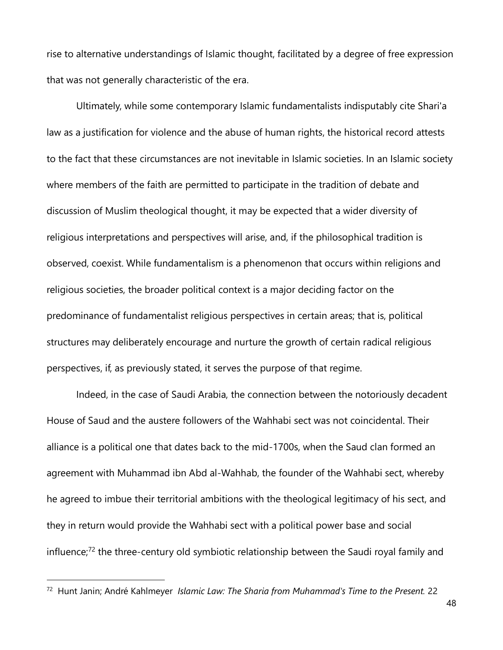rise to alternative understandings of Islamic thought, facilitated by a degree of free expression that was not generally characteristic of the era.

Ultimately, while some contemporary Islamic fundamentalists indisputably cite Shari'a law as a justification for violence and the abuse of human rights, the historical record attests to the fact that these circumstances are not inevitable in Islamic societies. In an Islamic society where members of the faith are permitted to participate in the tradition of debate and discussion of Muslim theological thought, it may be expected that a wider diversity of religious interpretations and perspectives will arise, and, if the philosophical tradition is observed, coexist. While fundamentalism is a phenomenon that occurs within religions and religious societies, the broader political context is a major deciding factor on the predominance of fundamentalist religious perspectives in certain areas; that is, political structures may deliberately encourage and nurture the growth of certain radical religious perspectives, if, as previously stated, it serves the purpose of that regime.

Indeed, in the case of Saudi Arabia, the connection between the notoriously decadent House of Saud and the austere followers of the Wahhabi sect was not coincidental. Their alliance is a political one that dates back to the mid-1700s, when the Saud clan formed an agreement with Muhammad ibn Abd al-Wahhab, the founder of the Wahhabi sect, whereby he agreed to imbue their territorial ambitions with the theological legitimacy of his sect, and they in return would provide the Wahhabi sect with a political power base and social influence;<sup>72</sup> the three-century old symbiotic relationship between the Saudi royal family and

<sup>72</sup> Hunt Janin; André Kahlmeyer *Islamic Law: The Sharia from Muhammad's Time to the Present.* 22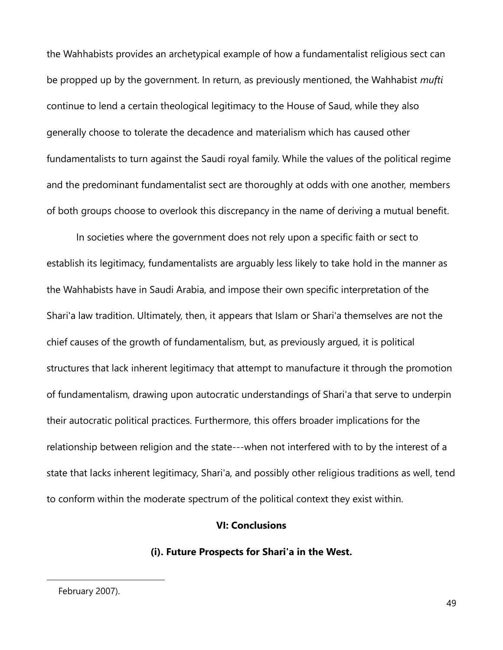the Wahhabists provides an archetypical example of how a fundamentalist religious sect can be propped up by the government. In return, as previously mentioned, the Wahhabist *mufti* continue to lend a certain theological legitimacy to the House of Saud, while they also generally choose to tolerate the decadence and materialism which has caused other fundamentalists to turn against the Saudi royal family. While the values of the political regime and the predominant fundamentalist sect are thoroughly at odds with one another, members of both groups choose to overlook this discrepancy in the name of deriving a mutual benefit.

In societies where the government does not rely upon a specific faith or sect to establish its legitimacy, fundamentalists are arguably less likely to take hold in the manner as the Wahhabists have in Saudi Arabia, and impose their own specific interpretation of the Shari'a law tradition. Ultimately, then, it appears that Islam or Shari'a themselves are not the chief causes of the growth of fundamentalism, but, as previously argued, it is political structures that lack inherent legitimacy that attempt to manufacture it through the promotion of fundamentalism, drawing upon autocratic understandings of Shari'a that serve to underpin their autocratic political practices. Furthermore, this offers broader implications for the relationship between religion and the state---when not interfered with to by the interest of a state that lacks inherent legitimacy, Shari'a, and possibly other religious traditions as well, tend to conform within the moderate spectrum of the political context they exist within.

## **VI: Conclusions**

## **(i). Future Prospects for Shari'a in the West.**

February 2007).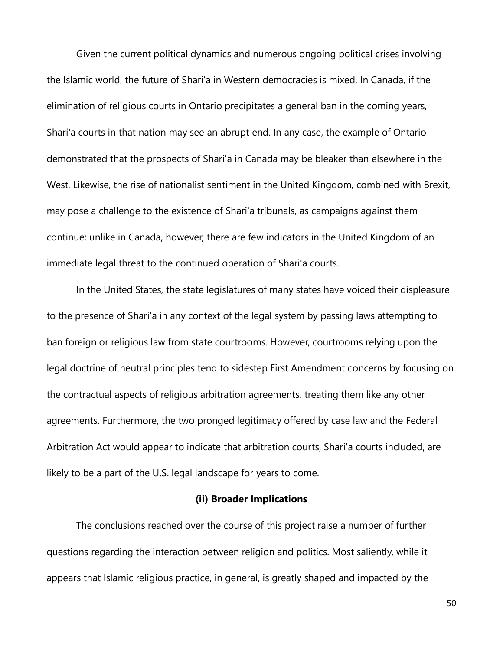Given the current political dynamics and numerous ongoing political crises involving the Islamic world, the future of Shari'a in Western democracies is mixed. In Canada, if the elimination of religious courts in Ontario precipitates a general ban in the coming years, Shari'a courts in that nation may see an abrupt end. In any case, the example of Ontario demonstrated that the prospects of Shari'a in Canada may be bleaker than elsewhere in the West. Likewise, the rise of nationalist sentiment in the United Kingdom, combined with Brexit, may pose a challenge to the existence of Shari'a tribunals, as campaigns against them continue; unlike in Canada, however, there are few indicators in the United Kingdom of an immediate legal threat to the continued operation of Shari'a courts.

In the United States, the state legislatures of many states have voiced their displeasure to the presence of Shari'a in any context of the legal system by passing laws attempting to ban foreign or religious law from state courtrooms. However, courtrooms relying upon the legal doctrine of neutral principles tend to sidestep First Amendment concerns by focusing on the contractual aspects of religious arbitration agreements, treating them like any other agreements. Furthermore, the two pronged legitimacy offered by case law and the Federal Arbitration Act would appear to indicate that arbitration courts, Shari'a courts included, are likely to be a part of the U.S. legal landscape for years to come.

## **(ii) Broader Implications**

The conclusions reached over the course of this project raise a number of further questions regarding the interaction between religion and politics. Most saliently, while it appears that Islamic religious practice, in general, is greatly shaped and impacted by the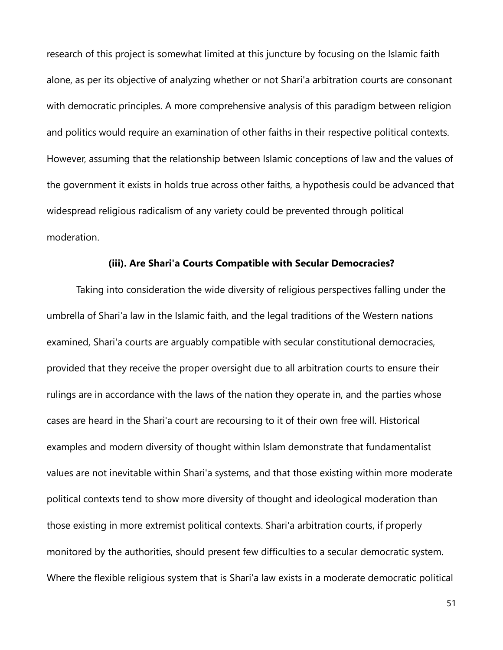research of this project is somewhat limited at this juncture by focusing on the Islamic faith alone, as per its objective of analyzing whether or not Shari'a arbitration courts are consonant with democratic principles. A more comprehensive analysis of this paradigm between religion and politics would require an examination of other faiths in their respective political contexts. However, assuming that the relationship between Islamic conceptions of law and the values of the government it exists in holds true across other faiths, a hypothesis could be advanced that widespread religious radicalism of any variety could be prevented through political moderation.

#### **(iii). Are Shari'a Courts Compatible with Secular Democracies?**

Taking into consideration the wide diversity of religious perspectives falling under the umbrella of Shari'a law in the Islamic faith, and the legal traditions of the Western nations examined, Shari'a courts are arguably compatible with secular constitutional democracies, provided that they receive the proper oversight due to all arbitration courts to ensure their rulings are in accordance with the laws of the nation they operate in, and the parties whose cases are heard in the Shari'a court are recoursing to it of their own free will. Historical examples and modern diversity of thought within Islam demonstrate that fundamentalist values are not inevitable within Shari'a systems, and that those existing within more moderate political contexts tend to show more diversity of thought and ideological moderation than those existing in more extremist political contexts. Shari'a arbitration courts, if properly monitored by the authorities, should present few difficulties to a secular democratic system. Where the flexible religious system that is Shari'a law exists in a moderate democratic political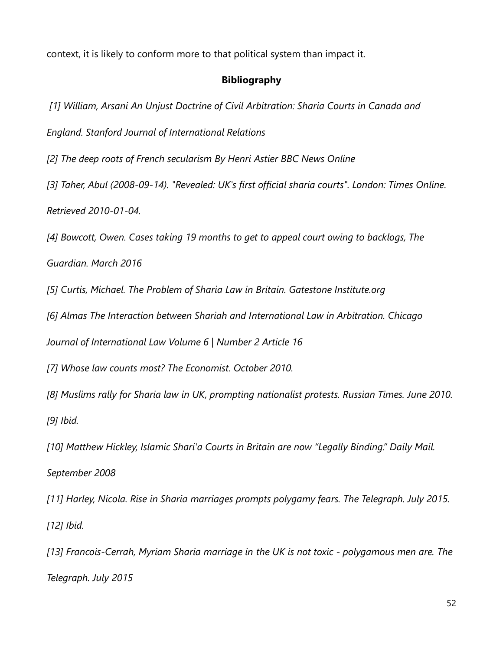context, it is likely to conform more to that political system than impact it.

## **Bibliography**

*[1] William, Arsani An Unjust Doctrine of Civil Arbitration: Sharia Courts in Canada and* 

*England. Stanford Journal of International Relations*

*[2] The deep roots of French secularism By Henri Astier BBC News Online*

*[3] Taher, Abul (2008-09-14). "Revealed: UK's first official sharia courts". London: Times Online. Retrieved 2010-01-04.*

*[4] Bowcott, Owen. Cases taking 19 months to get to appeal court owing to backlogs, The* 

*Guardian. March 2016*

*[5] Curtis, Michael. The Problem of Sharia Law in Britain. Gatestone Institute.org*

*[6] Almas The Interaction between Shariah and International Law in Arbitration. Chicago* 

*Journal of International Law Volume 6 | Number 2 Article 16*

*[7] Whose law counts most? The Economist. October 2010.*

*[8] Muslims rally for Sharia law in UK, prompting nationalist protests. Russian Times. June 2010. [9] Ibid.*

*[10] Matthew Hickley, Islamic Shari'a Courts in Britain are now "Legally Binding." Daily Mail. September 2008*

*[11] Harley, Nicola. Rise in Sharia marriages prompts polygamy fears. The Telegraph. July 2015. [12] Ibid.*

*[13] Francois-Cerrah, Myriam Sharia marriage in the UK is not toxic - polygamous men are. The Telegraph. July 2015*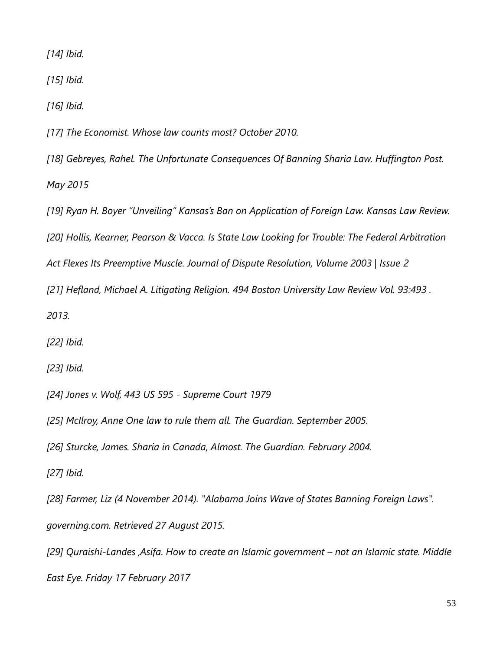*[14] Ibid.*

*[15] Ibid.*

*[16] Ibid.*

*[17] The Economist. Whose law counts most? October 2010.*

*[18] Gebreyes, Rahel. The Unfortunate Consequences Of Banning Sharia Law. Huffington Post. May 2015*

*[19] Ryan H. Boyer "Unveiling" Kansas's Ban on Application of Foreign Law. Kansas Law Review. [20] Hollis, Kearner, Pearson & Vacca. Is State Law Looking for Trouble: The Federal Arbitration Act Flexes Its Preemptive Muscle. Journal of Dispute Resolution, Volume 2003 | Issue 2*

*[21] Hefland, Michael A. Litigating Religion. 494 Boston University Law Review Vol. 93:493 .* 

*2013.*

*[22] Ibid.*

*[23] Ibid.*

*[24] Jones v. Wolf, 443 US 595 - Supreme Court 1979*

*[25] McIlroy, Anne One law to rule them all. The Guardian. September 2005.*

*[26] Sturcke, James. Sharia in Canada, Almost. The Guardian. February 2004.*

*[27] Ibid.*

*[28] Farmer, Liz (4 November 2014). "Alabama Joins Wave of States Banning Foreign Laws". governing.com. Retrieved 27 August 2015.*

*[29] Quraishi-Landes ,Asifa. How to create an Islamic government – not an Islamic state. Middle East Eye. Friday 17 February 2017*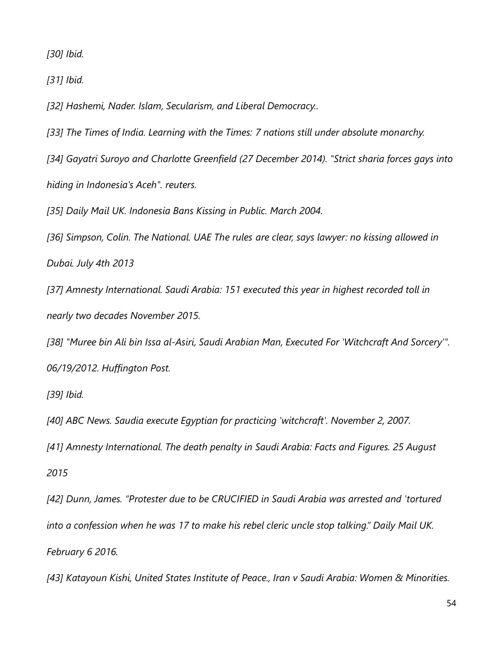*[30] Ibid.*

*[31] Ibid.*

*[32] Hashemi, Nader. Islam, Secularism, and Liberal Democracy..*

*[33] The Times of India. Learning with the Times: 7 nations still under absolute monarchy.*

*[34] Gayatri Suroyo and Charlotte Greenfield (27 December 2014). "Strict sharia forces gays into hiding in Indonesia's Aceh". reuters.*

*[35] Daily Mail UK. Indonesia Bans Kissing in Public. March 2004.*

*[36] Simpson, Colin. The National. UAE The rules are clear, says lawyer: no kissing allowed in Dubai. July 4th 2013*

*[37] Amnesty International. Saudi Arabia: 151 executed this year in highest recorded toll in nearly two decades November 2015.*

*[38] "Muree bin Ali bin Issa al-Asiri, Saudi Arabian Man, Executed For 'Witchcraft And Sorcery'". 06/19/2012. Huffington Post.*

*[39] Ibid.*

*[40] ABC News. Saudia execute Egyptian for practicing 'witchcraft'. November 2, 2007.*

*[41] Amnesty International. The death penalty in Saudi Arabia: Facts and Figures. 25 August* 

*2015*

*[42] Dunn, James. "Protester due to be CRUCIFIED in Saudi Arabia was arrested and 'tortured into a confession when he was 17 to make his rebel cleric uncle stop talking." Daily Mail UK. February 6 2016.*

*[43] Katayoun Kishi, United States Institute of Peace., Iran v Saudi Arabia: Women & Minorities.*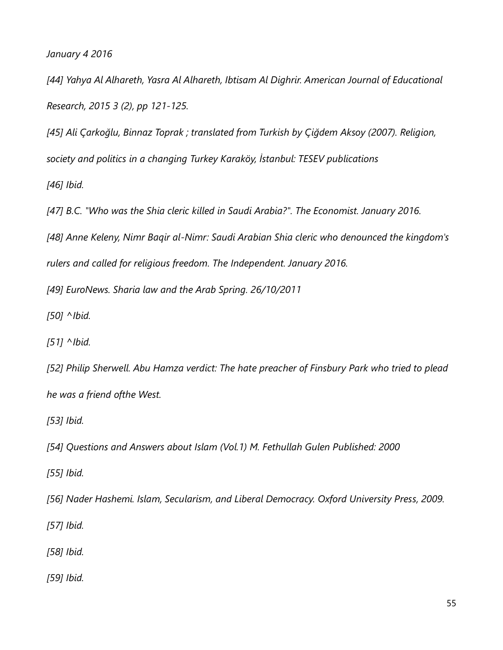*January 4 2016*

*[44] Yahya Al Alhareth, Yasra Al Alhareth, Ibtisam Al Dighrir. American Journal of Educational Research, 2015 3 (2), pp 121-125.*

*[45] Ali Çarkoğlu, Binnaz Toprak ; translated from Turkish by Çiğdem Aksoy (2007). Religion, society and politics in a changing Turkey Karaköy, İstanbul: TESEV publications*

*[46] Ibid.*

*[47] B.C. "Who was the Shia cleric killed in Saudi Arabia?". The Economist. January 2016.*

*[48] Anne Keleny, Nimr Baqir al-Nimr: Saudi Arabian Shia cleric who denounced the kingdom's rulers and called for religious freedom. The Independent. January 2016.*

*[49] EuroNews. Sharia law and the Arab Spring. 26/10/2011*

*[50] ^Ibid.*

*[51] ^Ibid.*

*[52] Philip Sherwell. Abu Hamza verdict: The hate preacher of Finsbury Park who tried to plead he was a friend ofthe West.*

*[53] Ibid.*

*[54] Questions and Answers about Islam (Vol.1) M. Fethullah Gulen Published: 2000*

*[55] Ibid.*

*[56] Nader Hashemi. Islam, Secularism, and Liberal Democracy. Oxford University Press, 2009.*

*[57] Ibid.*

*[58] Ibid.*

*[59] Ibid.*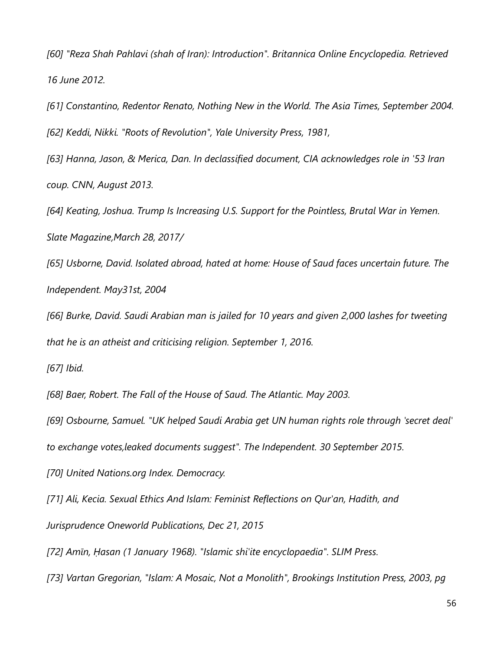*[60] "Reza Shah Pahlavi (shah of Iran): Introduction". Britannica Online Encyclopedia. Retrieved 16 June 2012.*

*[61] Constantino, Redentor Renato, Nothing New in the World. The Asia Times, September 2004. [62] Keddi, Nikki. "Roots of Revolution", Yale University Press, 1981,*

*[63] Hanna, Jason, & Merica, Dan. In declassified document, CIA acknowledges role in '53 Iran coup. CNN, August 2013.*

*[64] Keating, Joshua. Trump Is Increasing U.S. Support for the Pointless, Brutal War in Yemen. Slate Magazine,March 28, 2017/*

*[65] Usborne, David. Isolated abroad, hated at home: House of Saud faces uncertain future. The Independent. May31st, 2004*

*[66] Burke, David. Saudi Arabian man is jailed for 10 years and given 2,000 lashes for tweeting that he is an atheist and criticising religion. September 1, 2016.*

*[67] Ibid.*

*[68] Baer, Robert. The Fall of the House of Saud. The Atlantic. May 2003.*

*[69] Osbourne, Samuel. "UK helped Saudi Arabia get UN human rights role through 'secret deal'*

*to exchange votes,leaked documents suggest". The Independent. 30 September 2015.*

*[70] United Nations.org Index. Democracy.*

*[71] Ali, Kecia. Sexual Ethics And Islam: Feminist Reflections on Qur'an, Hadith, and Jurisprudence Oneworld Publications, Dec 21, 2015*

*[72] Amīn, Ḥasan (1 January 1968). "Islamic shi'ite encyclopaedia". SLIM Press.*

*[73] Vartan Gregorian, "Islam: A Mosaic, Not a Monolith", Brookings Institution Press, 2003, pg*